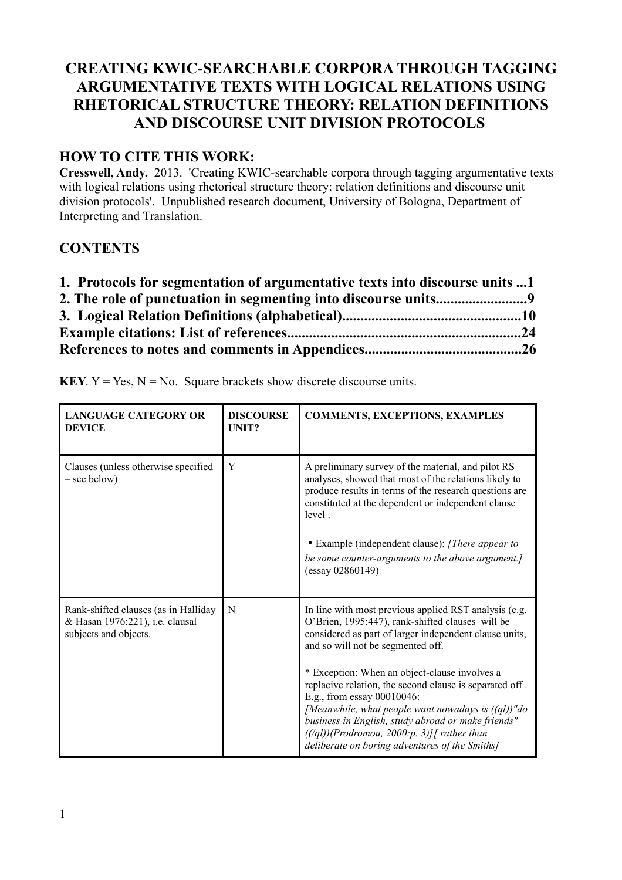# **CREATING KWIC-SEARCHABLE CORPORA THROUGH TAGGING ARGUMENTATIVE TEXTS WITH LOGICAL RELATIONS USING RHETORICAL STRUCTURE THEORY: RELATION DEFINITIONS AND DISCOURSE UNIT DIVISION PROTOCOLS**

## **HOW TO CITE THIS WORK:**

**Cresswell, Andy.** 2013. 'Creating KWIC-searchable corpora through tagging argumentative texts with logical relations using rhetorical structure theory: relation definitions and discourse unit division protocols'. Unpublished research document, University of Bologna, Department of Interpreting and Translation.

## **CONTENTS**

| 1. Protocols for segmentation of argumentative texts into discourse units 1 |  |
|-----------------------------------------------------------------------------|--|
|                                                                             |  |
|                                                                             |  |
|                                                                             |  |
|                                                                             |  |

| <b>LANGUAGE CATEGORY OR</b><br><b>DEVICE</b>                                                     | <b>DISCOURSE</b><br>UNIT? | <b>COMMENTS, EXCEPTIONS, EXAMPLES</b>                                                                                                                                                                                                                                                                                                                                                                                                                                                                                                                                 |
|--------------------------------------------------------------------------------------------------|---------------------------|-----------------------------------------------------------------------------------------------------------------------------------------------------------------------------------------------------------------------------------------------------------------------------------------------------------------------------------------------------------------------------------------------------------------------------------------------------------------------------------------------------------------------------------------------------------------------|
| Clauses (unless otherwise specified<br>- see below)                                              | Y                         | A preliminary survey of the material, and pilot RS<br>analyses, showed that most of the relations likely to<br>produce results in terms of the research questions are<br>constituted at the dependent or independent clause<br>level.<br>• Example (independent clause): [There appear to<br>be some counter-arguments to the above argument.]<br>$(essay\ 02860149)$                                                                                                                                                                                                 |
| Rank-shifted clauses (as in Halliday<br>& Hasan 1976:221), i.e. clausal<br>subjects and objects. | N                         | In line with most previous applied RST analysis (e.g.<br>O'Brien, 1995:447), rank-shifted clauses will be<br>considered as part of larger independent clause units,<br>and so will not be segmented off.<br>* Exception: When an object-clause involves a<br>replacive relation, the second clause is separated off.<br>E.g., from essay 00010046:<br>[Meanwhile, what people want nowadays is $((ql))$ "do<br>business in English, study abroad or make friends"<br>$((q1))(Productionou, 2000:p. 3)]$ rather than<br>deliberate on boring adventures of the Smiths] |

**KEY.**  $Y = Yes$ ,  $N = No$ . Square brackets show discrete discourse units.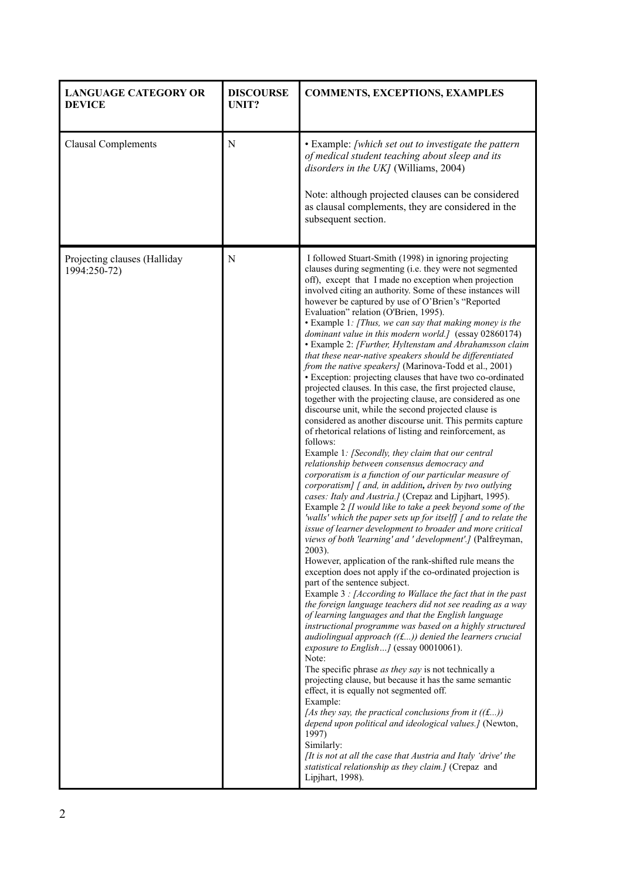| <b>LANGUAGE CATEGORY OR</b><br><b>DEVICE</b> | <b>DISCOURSE</b><br><b>UNIT?</b> | <b>COMMENTS, EXCEPTIONS, EXAMPLES</b>                                                                                                                                                                                                                                                                                                                                                                                                                                                                                                                                                                                                                                                                                                                                                                                                                                                                                                                                                                                                                                                                                                                                                                                                                                                                                                                                                                                                                                                                                                                                                                                                                                                                                                                                                                                                                                                                                                                                                                                                                                                                                                                                                                                                                                                                                                                                                                                                                                                                                                                                                                      |
|----------------------------------------------|----------------------------------|------------------------------------------------------------------------------------------------------------------------------------------------------------------------------------------------------------------------------------------------------------------------------------------------------------------------------------------------------------------------------------------------------------------------------------------------------------------------------------------------------------------------------------------------------------------------------------------------------------------------------------------------------------------------------------------------------------------------------------------------------------------------------------------------------------------------------------------------------------------------------------------------------------------------------------------------------------------------------------------------------------------------------------------------------------------------------------------------------------------------------------------------------------------------------------------------------------------------------------------------------------------------------------------------------------------------------------------------------------------------------------------------------------------------------------------------------------------------------------------------------------------------------------------------------------------------------------------------------------------------------------------------------------------------------------------------------------------------------------------------------------------------------------------------------------------------------------------------------------------------------------------------------------------------------------------------------------------------------------------------------------------------------------------------------------------------------------------------------------------------------------------------------------------------------------------------------------------------------------------------------------------------------------------------------------------------------------------------------------------------------------------------------------------------------------------------------------------------------------------------------------------------------------------------------------------------------------------------------------|
| <b>Clausal Complements</b>                   | N                                | • Example: [which set out to investigate the pattern<br>of medical student teaching about sleep and its<br>disorders in the UK] (Williams, 2004)<br>Note: although projected clauses can be considered<br>as clausal complements, they are considered in the<br>subsequent section.                                                                                                                                                                                                                                                                                                                                                                                                                                                                                                                                                                                                                                                                                                                                                                                                                                                                                                                                                                                                                                                                                                                                                                                                                                                                                                                                                                                                                                                                                                                                                                                                                                                                                                                                                                                                                                                                                                                                                                                                                                                                                                                                                                                                                                                                                                                        |
| Projecting clauses (Halliday<br>1994:250-72) | N                                | I followed Stuart-Smith (1998) in ignoring projecting<br>clauses during segmenting (i.e. they were not segmented<br>off), except that I made no exception when projection<br>involved citing an authority. Some of these instances will<br>however be captured by use of O'Brien's "Reported<br>Evaluation" relation (O'Brien, 1995).<br>• Example 1: [Thus, we can say that making money is the<br>dominant value in this modern world.] (essay 02860174)<br>• Example 2: [Further, Hyltenstam and Abrahamsson claim<br>that these near-native speakers should be differentiated<br>from the native speakers] (Marinova-Todd et al., 2001)<br>• Exception: projecting clauses that have two co-ordinated<br>projected clauses. In this case, the first projected clause,<br>together with the projecting clause, are considered as one<br>discourse unit, while the second projected clause is<br>considered as another discourse unit. This permits capture<br>of rhetorical relations of listing and reinforcement, as<br>follows:<br>Example 1: [Secondly, they claim that our central<br>relationship between consensus democracy and<br>corporatism is a function of our particular measure of<br>corporatism] [ and, in addition, driven by two outlying<br>cases: Italy and Austria.] (Crepaz and Lipjhart, 1995).<br>Example 2 [I would like to take a peek beyond some of the<br>'walls' which the paper sets up for itself] [ and to relate the<br>issue of learner development to broader and more critical<br>views of both 'learning' and ' development'.] (Palfreyman,<br>2003).<br>However, application of the rank-shifted rule means the<br>exception does not apply if the co-ordinated projection is<br>part of the sentence subject.<br>Example 3 : [According to Wallace the fact that in the past<br>the foreign language teachers did not see reading as a way<br>of learning languages and that the English language<br>instructional programme was based on a highly structured<br>audiolingual approach $((f)$ denied the learners crucial<br>exposure to English] (essay 00010061).<br>Note:<br>The specific phrase as they say is not technically a<br>projecting clause, but because it has the same semantic<br>effect, it is equally not segmented off.<br>Example:<br>[As they say, the practical conclusions from it $((\text{f}))$<br>depend upon political and ideological values.] (Newton,<br>1997)<br>Similarly:<br><i>It is not at all the case that Austria and Italy 'drive' the</i><br>statistical relationship as they claim.] (Crepaz and<br>Lipjhart, 1998). |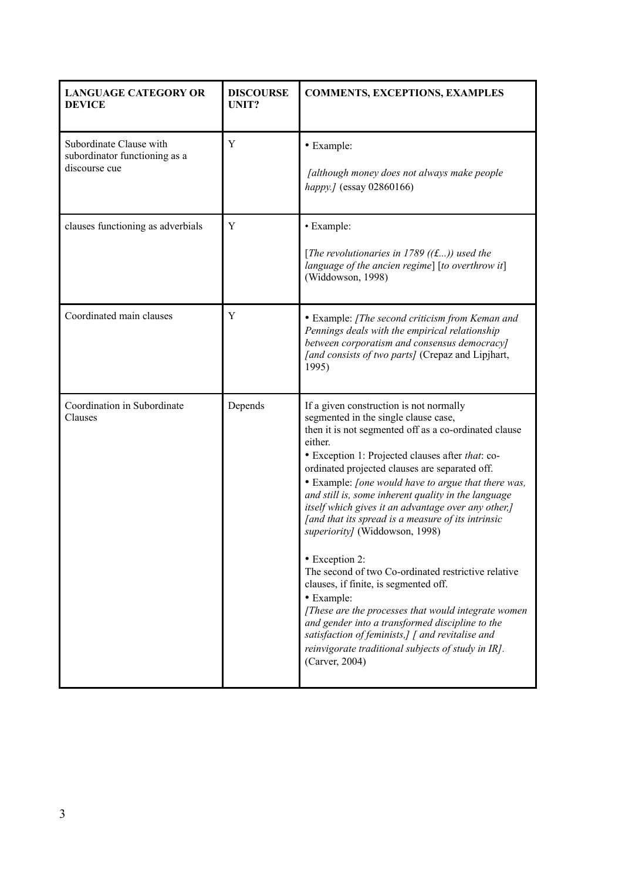| <b>LANGUAGE CATEGORY OR</b><br><b>DEVICE</b>                              | <b>DISCOURSE</b><br>UNIT? | <b>COMMENTS, EXCEPTIONS, EXAMPLES</b>                                                                                                                                                                                                                                                                                                                                                                                                                                                                                                                                                                                                                                                                                                                                                                                                                                                               |
|---------------------------------------------------------------------------|---------------------------|-----------------------------------------------------------------------------------------------------------------------------------------------------------------------------------------------------------------------------------------------------------------------------------------------------------------------------------------------------------------------------------------------------------------------------------------------------------------------------------------------------------------------------------------------------------------------------------------------------------------------------------------------------------------------------------------------------------------------------------------------------------------------------------------------------------------------------------------------------------------------------------------------------|
| Subordinate Clause with<br>subordinator functioning as a<br>discourse cue | Y                         | • Example:<br>[although money does not always make people<br>happy.] (essay 02860166)                                                                                                                                                                                                                                                                                                                                                                                                                                                                                                                                                                                                                                                                                                                                                                                                               |
| clauses functioning as adverbials                                         | Y                         | • Example:<br>[The revolutionaries in 1789 ((£)) used the<br>language of the ancien regime] $[to overthrow it]$<br>(Widdowson, 1998)                                                                                                                                                                                                                                                                                                                                                                                                                                                                                                                                                                                                                                                                                                                                                                |
| Coordinated main clauses                                                  | Y                         | • Example: [The second criticism from Keman and<br>Pennings deals with the empirical relationship<br>between corporatism and consensus democracy]<br>[and consists of two parts] (Crepaz and Lipjhart,<br>1995)                                                                                                                                                                                                                                                                                                                                                                                                                                                                                                                                                                                                                                                                                     |
| Coordination in Subordinate<br>Clauses                                    | Depends                   | If a given construction is not normally<br>segmented in the single clause case,<br>then it is not segmented off as a co-ordinated clause<br>either.<br>• Exception 1: Projected clauses after that: co-<br>ordinated projected clauses are separated off.<br>• Example: <i>[one would have to argue that there was,</i><br>and still is, some inherent quality in the language<br>itself which gives it an advantage over any other,]<br>[and that its spread is a measure of its intrinsic<br>superiority] (Widdowson, 1998)<br>• Exception 2:<br>The second of two Co-ordinated restrictive relative<br>clauses, if finite, is segmented off.<br>• Example:<br>[These are the processes that would integrate women<br>and gender into a transformed discipline to the<br>satisfaction of feminists,] [ and revitalise and<br>reinvigorate traditional subjects of study in IR].<br>(Carver, 2004) |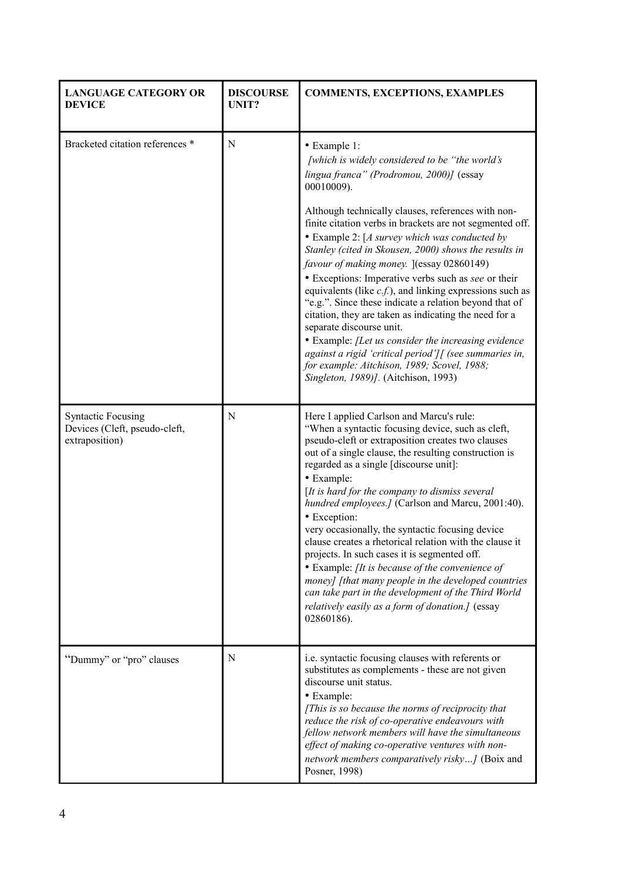| <b>LANGUAGE CATEGORY OR</b><br><b>DEVICE</b>                                 | <b>DISCOURSE</b><br>UNIT? | <b>COMMENTS, EXCEPTIONS, EXAMPLES</b>                                                                                                                                                                                                                                                                                                                                                                                                                                                                                                                                                                                                                                                                                                                                                                                                                                          |
|------------------------------------------------------------------------------|---------------------------|--------------------------------------------------------------------------------------------------------------------------------------------------------------------------------------------------------------------------------------------------------------------------------------------------------------------------------------------------------------------------------------------------------------------------------------------------------------------------------------------------------------------------------------------------------------------------------------------------------------------------------------------------------------------------------------------------------------------------------------------------------------------------------------------------------------------------------------------------------------------------------|
| Bracketed citation references *                                              | N                         | • Example 1:<br>[which is widely considered to be "the world's<br>lingua franca" (Prodromou, 2000)] (essay<br>00010009).<br>Although technically clauses, references with non-<br>finite citation verbs in brackets are not segmented off.<br>• Example 2: [A survey which was conducted by<br>Stanley (cited in Skousen, 2000) shows the results in<br>favour of making money. [(essay 02860149)<br>• Exceptions: Imperative verbs such as see or their<br>equivalents (like $c.f.$ ), and linking expressions such as<br>"e.g.". Since these indicate a relation beyond that of<br>citation, they are taken as indicating the need for a<br>separate discourse unit.<br>• Example: [Let us consider the increasing evidence<br>against a rigid 'critical period'][ (see summaries in,<br>for example: Aitchison, 1989; Scovel, 1988;<br>Singleton, 1989)]. (Aitchison, 1993) |
| <b>Syntactic Focusing</b><br>Devices (Cleft, pseudo-cleft,<br>extraposition) | N                         | Here I applied Carlson and Marcu's rule:<br>"When a syntactic focusing device, such as cleft,<br>pseudo-cleft or extraposition creates two clauses<br>out of a single clause, the resulting construction is<br>regarded as a single [discourse unit]:<br>• Example:<br>$[It is hard for the company to dismiss several]$<br>hundred employees.] (Carlson and Marcu, 2001:40).<br>• Exception:<br>very occasionally, the syntactic focusing device<br>clause creates a rhetorical relation with the clause it<br>projects. In such cases it is segmented off.<br>• Example: [It is because of the convenience of<br>money] [that many people in the developed countries<br>can take part in the development of the Third World<br>relatively easily as a form of donation.] (essay<br>02860186).                                                                                |
| "Dummy" or "pro" clauses                                                     | N                         | i.e. syntactic focusing clauses with referents or<br>substitutes as complements - these are not given<br>discourse unit status.<br>· Example:<br>[This is so because the norms of reciprocity that<br>reduce the risk of co-operative endeavours with<br>fellow network members will have the simultaneous<br>effect of making co-operative ventures with non-<br>network members comparatively risky] (Boix and<br>Posner, 1998)                                                                                                                                                                                                                                                                                                                                                                                                                                              |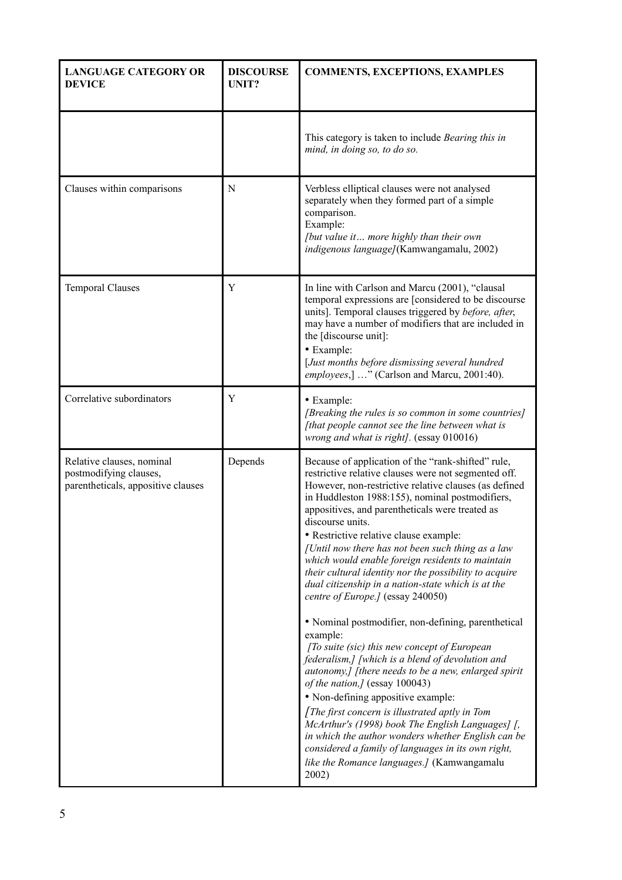| <b>LANGUAGE CATEGORY OR</b><br><b>DEVICE</b>                                              | <b>DISCOURSE</b><br>UNIT? | <b>COMMENTS, EXCEPTIONS, EXAMPLES</b>                                                                                                                                                                                                                                                                                                                                                                                                                                                                                                                                                                                                                                                                                                                                                                                                                                                                                                                                                                                                                                                                                                                                                 |
|-------------------------------------------------------------------------------------------|---------------------------|---------------------------------------------------------------------------------------------------------------------------------------------------------------------------------------------------------------------------------------------------------------------------------------------------------------------------------------------------------------------------------------------------------------------------------------------------------------------------------------------------------------------------------------------------------------------------------------------------------------------------------------------------------------------------------------------------------------------------------------------------------------------------------------------------------------------------------------------------------------------------------------------------------------------------------------------------------------------------------------------------------------------------------------------------------------------------------------------------------------------------------------------------------------------------------------|
|                                                                                           |                           | This category is taken to include Bearing this in<br>mind, in doing so, to do so.                                                                                                                                                                                                                                                                                                                                                                                                                                                                                                                                                                                                                                                                                                                                                                                                                                                                                                                                                                                                                                                                                                     |
| Clauses within comparisons                                                                | N                         | Verbless elliptical clauses were not analysed<br>separately when they formed part of a simple<br>comparison.<br>Example:<br>[but value it more highly than their own<br>indigenous language](Kamwangamalu, 2002)                                                                                                                                                                                                                                                                                                                                                                                                                                                                                                                                                                                                                                                                                                                                                                                                                                                                                                                                                                      |
| <b>Temporal Clauses</b>                                                                   | Y                         | In line with Carlson and Marcu (2001), "clausal<br>temporal expressions are [considered to be discourse]<br>units]. Temporal clauses triggered by before, after,<br>may have a number of modifiers that are included in<br>the [discourse unit]:<br>• Example:<br>[Just months before dismissing several hundred<br>employees,] " (Carlson and Marcu, 2001:40).                                                                                                                                                                                                                                                                                                                                                                                                                                                                                                                                                                                                                                                                                                                                                                                                                       |
| Correlative subordinators                                                                 | Y                         | • Example:<br>[Breaking the rules is so common in some countries]<br>[that people cannot see the line between what is<br>wrong and what is right]. (essay 010016)                                                                                                                                                                                                                                                                                                                                                                                                                                                                                                                                                                                                                                                                                                                                                                                                                                                                                                                                                                                                                     |
| Relative clauses, nominal<br>postmodifying clauses,<br>parentheticals, appositive clauses | Depends                   | Because of application of the "rank-shifted" rule,<br>restrictive relative clauses were not segmented off.<br>However, non-restrictive relative clauses (as defined<br>in Huddleston 1988:155), nominal postmodifiers,<br>appositives, and parentheticals were treated as<br>discourse units.<br>• Restrictive relative clause example:<br>[Until now there has not been such thing as a law<br>which would enable foreign residents to maintain<br>their cultural identity nor the possibility to acquire<br>dual citizenship in a nation-state which is at the<br>centre of Europe.] (essay 240050)<br>• Nominal postmodifier, non-defining, parenthetical<br>example:<br>[To suite (sic) this new concept of European<br>federalism,] [which is a blend of devolution and<br>autonomy,] [there needs to be a new, enlarged spirit<br>of the nation,] (essay 100043)<br>• Non-defining appositive example:<br>[The first concern is illustrated aptly in Tom<br>McArthur's (1998) book The English Languages] [,<br>in which the author wonders whether English can be<br>considered a family of languages in its own right,<br>like the Romance languages.] (Kamwangamalu<br>2002) |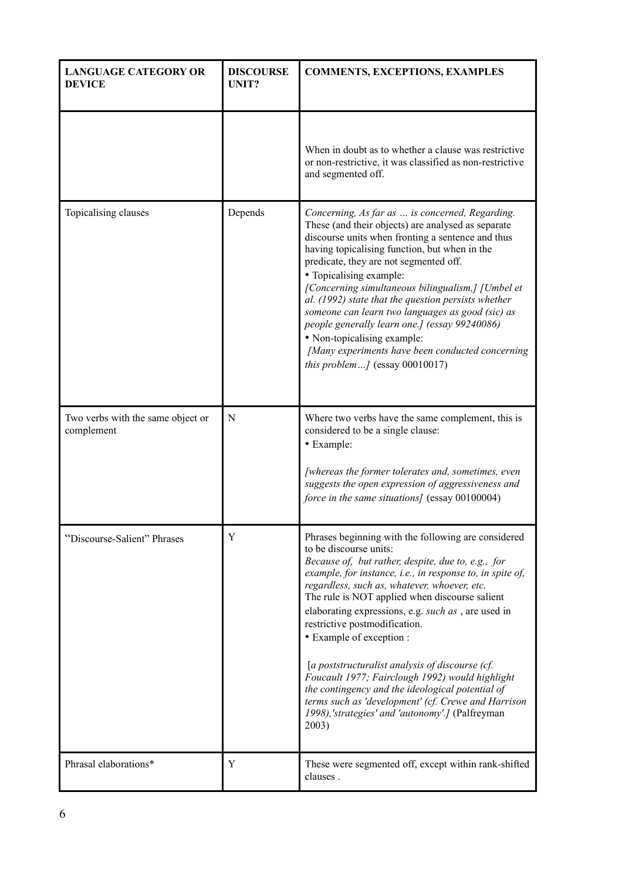| <b>LANGUAGE CATEGORY OR</b><br><b>DEVICE</b>    | <b>DISCOURSE</b><br>UNIT? | <b>COMMENTS, EXCEPTIONS, EXAMPLES</b>                                                                                                                                                                                                                                                                                                                                                                                                                                                                                                                                                                                                                                                              |
|-------------------------------------------------|---------------------------|----------------------------------------------------------------------------------------------------------------------------------------------------------------------------------------------------------------------------------------------------------------------------------------------------------------------------------------------------------------------------------------------------------------------------------------------------------------------------------------------------------------------------------------------------------------------------------------------------------------------------------------------------------------------------------------------------|
|                                                 |                           | When in doubt as to whether a clause was restrictive<br>or non-restrictive, it was classified as non-restrictive<br>and segmented off.                                                                                                                                                                                                                                                                                                                                                                                                                                                                                                                                                             |
| Topicalising clauses                            | Depends                   | Concerning, As far as  is concerned, Regarding.<br>These (and their objects) are analysed as separate<br>discourse units when fronting a sentence and thus<br>having topicalising function, but when in the<br>predicate, they are not segmented off.<br>• Topicalising example:<br>[Concerning simultaneous bilingualism,] [Umbel et<br>al. (1992) state that the question persists whether<br>someone can learn two languages as good (sic) as<br>people generally learn one.] (essay 99240086)<br>• Non-topicalising example:<br>[Many experiments have been conducted concerning<br><i>this problem</i> $/$ (essay 00010017)                                                                   |
| Two verbs with the same object or<br>complement | N                         | Where two verbs have the same complement, this is<br>considered to be a single clause:<br>• Example:<br>[whereas the former tolerates and, sometimes, even<br>suggests the open expression of aggressiveness and<br>force in the same situations] (essay 00100004)                                                                                                                                                                                                                                                                                                                                                                                                                                 |
| "Discourse-Salient" Phrases                     | Y                         | Phrases beginning with the following are considered<br>to be discourse units:<br>Because of, but rather, despite, due to, e.g., for<br>example, for instance, i.e., in response to, in spite of,<br>regardless, such as, whatever, whoever, etc.<br>The rule is NOT applied when discourse salient<br>elaborating expressions, e.g. such as, are used in<br>restrictive postmodification.<br>• Example of exception :<br>[a poststructuralist analysis of discourse (cf.<br>Foucault 1977; Fairclough 1992) would highlight<br>the contingency and the ideological potential of<br>terms such as 'development' (cf. Crewe and Harrison<br>1998),'strategies' and 'autonomy'.] (Palfreyman<br>2003) |
| Phrasal elaborations*                           | Y                         | These were segmented off, except within rank-shifted<br>clauses.                                                                                                                                                                                                                                                                                                                                                                                                                                                                                                                                                                                                                                   |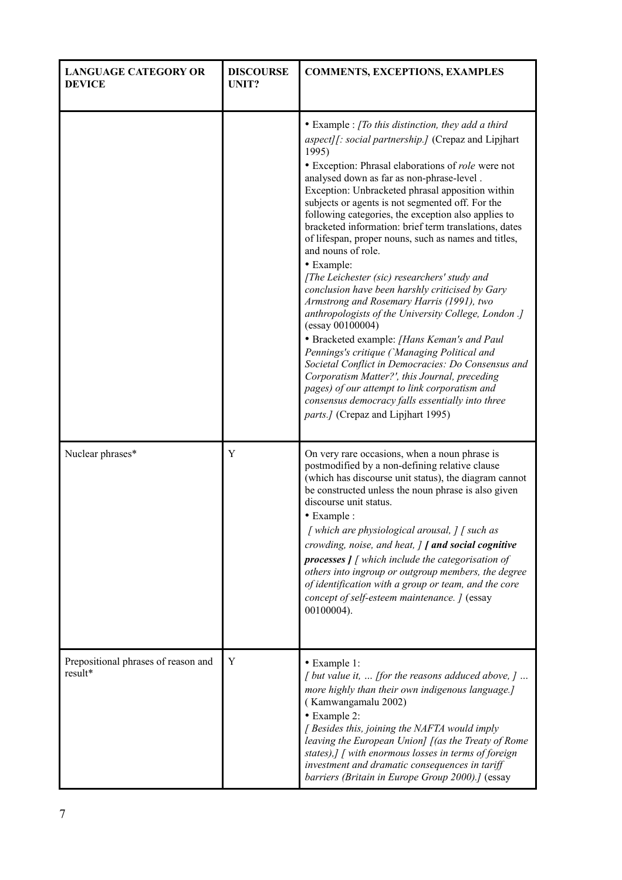| <b>LANGUAGE CATEGORY OR</b><br><b>DEVICE</b>   | <b>DISCOURSE</b><br>UNIT? | <b>COMMENTS, EXCEPTIONS, EXAMPLES</b>                                                                                                                                                                                                                                                                                                                                                                                                                                                                                                                                                                                                                                                                                                                                                                                                                                                                                                                                                                                                                                                                                     |
|------------------------------------------------|---------------------------|---------------------------------------------------------------------------------------------------------------------------------------------------------------------------------------------------------------------------------------------------------------------------------------------------------------------------------------------------------------------------------------------------------------------------------------------------------------------------------------------------------------------------------------------------------------------------------------------------------------------------------------------------------------------------------------------------------------------------------------------------------------------------------------------------------------------------------------------------------------------------------------------------------------------------------------------------------------------------------------------------------------------------------------------------------------------------------------------------------------------------|
|                                                |                           | • Example : [To this distinction, they add a third<br>aspect][: social partnership.] (Crepaz and Lipjhart<br>1995)<br>• Exception: Phrasal elaborations of role were not<br>analysed down as far as non-phrase-level.<br>Exception: Unbracketed phrasal apposition within<br>subjects or agents is not segmented off. For the<br>following categories, the exception also applies to<br>bracketed information: brief term translations, dates<br>of lifespan, proper nouns, such as names and titles,<br>and nouns of role.<br>• Example:<br>[The Leichester (sic) researchers' study and<br>conclusion have been harshly criticised by Gary<br>Armstrong and Rosemary Harris (1991), two<br>anthropologists of the University College, London .]<br>$(essay\ 00100004)$<br>· Bracketed example: [Hans Keman's and Paul<br>Pennings's critique ('Managing Political and<br>Societal Conflict in Democracies: Do Consensus and<br>Corporatism Matter?', this Journal, preceding<br>pages) of our attempt to link corporatism and<br>consensus democracy falls essentially into three<br>parts.] (Crepaz and Lipjhart 1995) |
| Nuclear phrases*                               | Y                         | On very rare occasions, when a noun phrase is<br>postmodified by a non-defining relative clause<br>(which has discourse unit status), the diagram cannot<br>be constructed unless the noun phrase is also given<br>discourse unit status.<br>• Example :<br>[which are physiological arousal, ] [ such as<br>crowding, noise, and heat, ] [ and social cognitive<br><b>processes</b> $\int$ [ which include the categorisation of<br>others into ingroup or outgroup members, the degree<br>of identification with a group or team, and the core<br>concept of self-esteem maintenance. ] (essay<br>00100004).                                                                                                                                                                                                                                                                                                                                                                                                                                                                                                            |
| Prepositional phrases of reason and<br>result* | Y                         | · Example 1:<br>$\int$ but value it,  [for the reasons adduced above, ]<br>more highly than their own indigenous language.]<br>(Kamwangamalu 2002)<br>• Example 2:<br>[ Besides this, joining the NAFTA would imply<br>leaving the European Union] [(as the Treaty of Rome<br>states),] [ with enormous losses in terms of foreign<br>investment and dramatic consequences in tariff<br>barriers (Britain in Europe Group 2000).] (essay                                                                                                                                                                                                                                                                                                                                                                                                                                                                                                                                                                                                                                                                                  |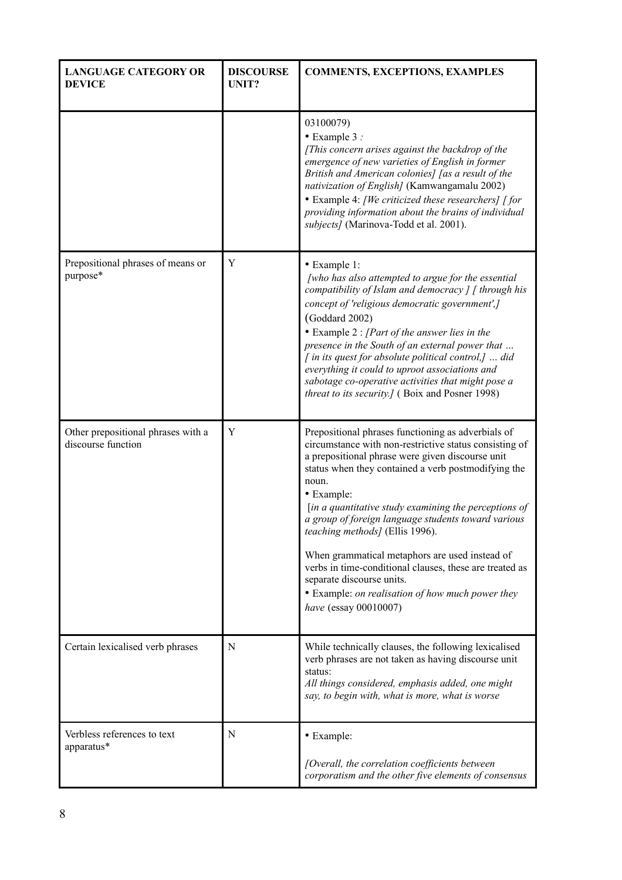| <b>LANGUAGE CATEGORY OR</b><br><b>DEVICE</b>             | <b>DISCOURSE</b><br>UNIT? | <b>COMMENTS, EXCEPTIONS, EXAMPLES</b>                                                                                                                                                                                                                                                                                                                                                                                                                                                                                                                                                                                    |
|----------------------------------------------------------|---------------------------|--------------------------------------------------------------------------------------------------------------------------------------------------------------------------------------------------------------------------------------------------------------------------------------------------------------------------------------------------------------------------------------------------------------------------------------------------------------------------------------------------------------------------------------------------------------------------------------------------------------------------|
|                                                          |                           | 03100079)<br>$\bullet$ Example 3 :<br>[This concern arises against the backdrop of the<br>emergence of new varieties of English in former<br>British and American colonies] [as a result of the<br>nativization of English] (Kamwangamalu 2002)<br>• Example 4: [We criticized these researchers] [for<br>providing information about the brains of individual<br>subjects] (Marinova-Todd et al. 2001).                                                                                                                                                                                                                 |
| Prepositional phrases of means or<br>purpose*            | Y                         | • Example 1:<br>[who has also attempted to argue for the essential<br>compatibility of Islam and democracy $\int \int f$ through his<br>concept of 'religious democratic government',]<br>(Goddard 2002)<br>$\bullet$ Example 2 : [Part of the answer lies in the<br>presence in the South of an external power that<br>$\int$ in its quest for absolute political control, $\int$ did<br>everything it could to uproot associations and<br>sabotage co-operative activities that might pose a<br>threat to its security.] (Boix and Posner 1998)                                                                        |
| Other prepositional phrases with a<br>discourse function | Y                         | Prepositional phrases functioning as adverbials of<br>circumstance with non-restrictive status consisting of<br>a prepositional phrase were given discourse unit<br>status when they contained a verb postmodifying the<br>noun.<br>• Example:<br>[in a quantitative study examining the perceptions of<br>a group of foreign language students toward various<br>teaching methods] (Ellis 1996).<br>When grammatical metaphors are used instead of<br>verbs in time-conditional clauses, these are treated as<br>separate discourse units.<br>• Example: on realisation of how much power they<br>have (essay 00010007) |
| Certain lexicalised verb phrases                         | N                         | While technically clauses, the following lexicalised<br>verb phrases are not taken as having discourse unit<br>status:<br>All things considered, emphasis added, one might<br>say, to begin with, what is more, what is worse                                                                                                                                                                                                                                                                                                                                                                                            |
| Verbless references to text<br>apparatus*                | N                         | • Example:<br>[Overall, the correlation coefficients between<br>corporatism and the other five elements of consensus                                                                                                                                                                                                                                                                                                                                                                                                                                                                                                     |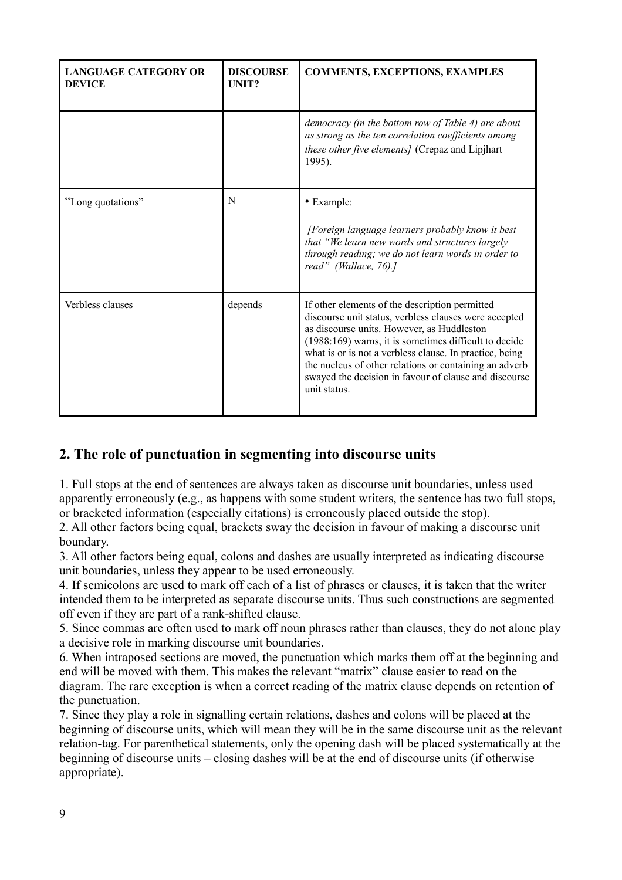| <b>LANGUAGE CATEGORY OR</b><br><b>DEVICE</b> | <b>DISCOURSE</b><br>UNIT? | <b>COMMENTS, EXCEPTIONS, EXAMPLES</b>                                                                                                                                                                                                                                                                                                                                                                          |
|----------------------------------------------|---------------------------|----------------------------------------------------------------------------------------------------------------------------------------------------------------------------------------------------------------------------------------------------------------------------------------------------------------------------------------------------------------------------------------------------------------|
|                                              |                           | democracy (in the bottom row of Table 4) are about<br>as strong as the ten correlation coefficients among<br>these other five elements] (Crepaz and Lipjhart<br>1995).                                                                                                                                                                                                                                         |
| "Long quotations"                            | N                         | • Example:<br>[Foreign language learners probably know it best<br>that "We learn new words and structures largely<br>through reading; we do not learn words in order to<br>read" (Wallace, 76).]                                                                                                                                                                                                               |
| Verbless clauses                             | depends                   | If other elements of the description permitted<br>discourse unit status, verbless clauses were accepted<br>as discourse units. However, as Huddleston<br>$(1988:169)$ warns, it is sometimes difficult to decide<br>what is or is not a verbless clause. In practice, being<br>the nucleus of other relations or containing an adverb<br>swayed the decision in favour of clause and discourse<br>unit status. |

# **2. The role of punctuation in segmenting into discourse units**

1. Full stops at the end of sentences are always taken as discourse unit boundaries, unless used apparently erroneously (e.g., as happens with some student writers, the sentence has two full stops, or bracketed information (especially citations) is erroneously placed outside the stop).

2. All other factors being equal, brackets sway the decision in favour of making a discourse unit boundary.

3. All other factors being equal, colons and dashes are usually interpreted as indicating discourse unit boundaries, unless they appear to be used erroneously.

4. If semicolons are used to mark off each of a list of phrases or clauses, it is taken that the writer intended them to be interpreted as separate discourse units. Thus such constructions are segmented off even if they are part of a rank-shifted clause.

5. Since commas are often used to mark off noun phrases rather than clauses, they do not alone play a decisive role in marking discourse unit boundaries.

6. When intraposed sections are moved, the punctuation which marks them off at the beginning and end will be moved with them. This makes the relevant "matrix" clause easier to read on the diagram. The rare exception is when a correct reading of the matrix clause depends on retention of the punctuation.

7. Since they play a role in signalling certain relations, dashes and colons will be placed at the beginning of discourse units, which will mean they will be in the same discourse unit as the relevant relation-tag. For parenthetical statements, only the opening dash will be placed systematically at the beginning of discourse units – closing dashes will be at the end of discourse units (if otherwise appropriate).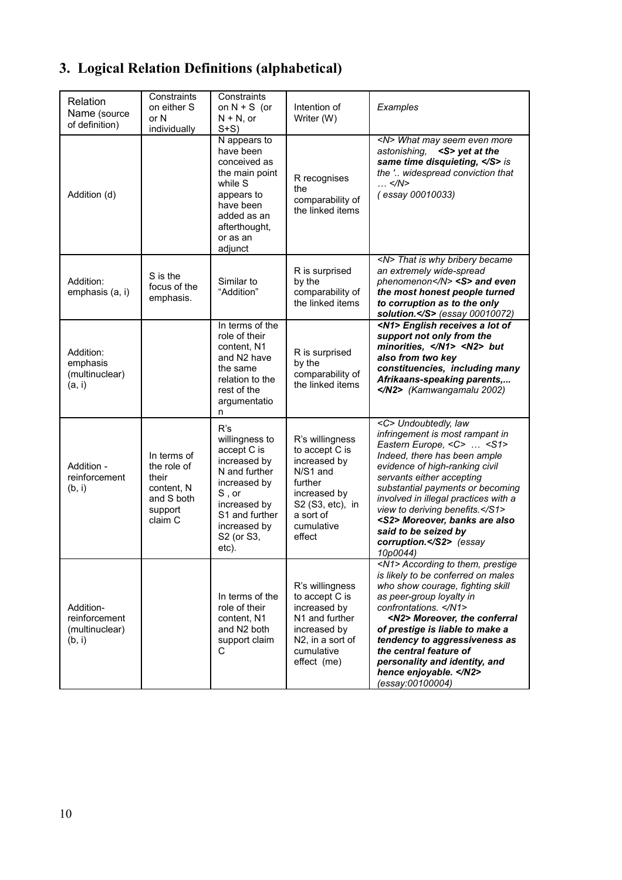# **3. Logical Relation Definitions (alphabetical)**

| Relation<br>Name (source<br>of definition)             | Constraints<br>on either S<br>or N<br>individually                                    | Constraints<br>on $N + S$ (or<br>$N + N$ , or<br>$S+S$                                                                                                                     | Intention of<br>Writer (W)                                                                                                                        | Examples                                                                                                                                                                                                                                                                                                                                                                                                              |
|--------------------------------------------------------|---------------------------------------------------------------------------------------|----------------------------------------------------------------------------------------------------------------------------------------------------------------------------|---------------------------------------------------------------------------------------------------------------------------------------------------|-----------------------------------------------------------------------------------------------------------------------------------------------------------------------------------------------------------------------------------------------------------------------------------------------------------------------------------------------------------------------------------------------------------------------|
| Addition (d)                                           |                                                                                       | N appears to<br>have been<br>conceived as<br>the main point<br>while S<br>appears to<br>have been<br>added as an<br>afterthought,<br>or as an<br>adjunct                   | R recognises<br>the<br>comparability of<br>the linked items                                                                                       | <n> What may seem even more<br/><s> yet at the<br/>astonishing,<br/>same time disquieting, </s> is<br/>the ' widespread conviction that<br/><math>\ldots</math> </n><br>(essay 00010033)                                                                                                                                                                                                                              |
| Addition:<br>emphasis (a, i)                           | S is the<br>focus of the<br>emphasis.                                                 | Similar to<br>"Addition"                                                                                                                                                   | R is surprised<br>by the<br>comparability of<br>the linked items                                                                                  | <n> That is why bribery became<br/>an extremely wide-spread<br/>phenomenon</n> <s> and even<br/>the most honest people turned<br/>to corruption as to the only<br/>solution.</s> (essay 00010072)                                                                                                                                                                                                                     |
| Addition:<br>emphasis<br>(multinuclear)<br>(a, i)      |                                                                                       | In terms of the<br>role of their<br>content, N1<br>and N2 have<br>the same<br>relation to the<br>rest of the<br>argumentatio<br>n                                          | R is surprised<br>by the<br>comparability of<br>the linked items                                                                                  | <n1> English receives a lot of<br/>support not only from the<br/>minorities, </n1> <n2> but<br/>also from two key<br/>constituencies, including many<br/>Afrikaans-speaking parents,<br/></n2> (Kamwangamalu 2002)                                                                                                                                                                                                    |
| Addition -<br>reinforcement<br>(b, i)                  | In terms of<br>the role of<br>their<br>content, N<br>and S both<br>support<br>claim C | R's<br>willingness to<br>accept C is<br>increased by<br>N and further<br>increased by<br>$S$ , or<br>increased by<br>S1 and further<br>increased by<br>S2 (or S3,<br>etc). | R's willingness<br>to accept C is<br>increased by<br>N/S1 and<br>further<br>increased by<br>S2 (S3, etc), in<br>a sort of<br>cumulative<br>effect | <c> Undoubtedly, law<br/>infringement is most rampant in<br/>Eastern Europe, <c> <s1><br/>Indeed, there has been ample<br/>evidence of high-ranking civil<br/>servants either accepting<br/>substantial payments or becoming<br/>involved in illegal practices with a<br/>view to deriving benefits.</s1><br/><s2> Moreover, banks are also<br/>said to be seized by<br/>corruption.</s2> (essay<br/>10p0044)</c></c> |
| Addition-<br>reinforcement<br>(multinuclear)<br>(b, i) |                                                                                       | In terms of the<br>role of their<br>content, N1<br>and N2 both<br>support claim<br>С                                                                                       | R's willingness<br>to accept C is<br>increased by<br>N1 and further<br>increased by<br>N2, in a sort of<br>cumulative<br>effect (me)              | <n1> According to them, prestige<br/>is likely to be conferred on males<br/>who show courage, fighting skill<br/>as peer-group loyalty in<br/>confrontations. </n1><br><n2> Moreover, the conferral<br/>of prestige is liable to make a<br/>tendency to aggressiveness as<br/>the central feature of<br/>personality and identity, and<br/>hence enjoyable. </n2><br>(essay:00100004)                                 |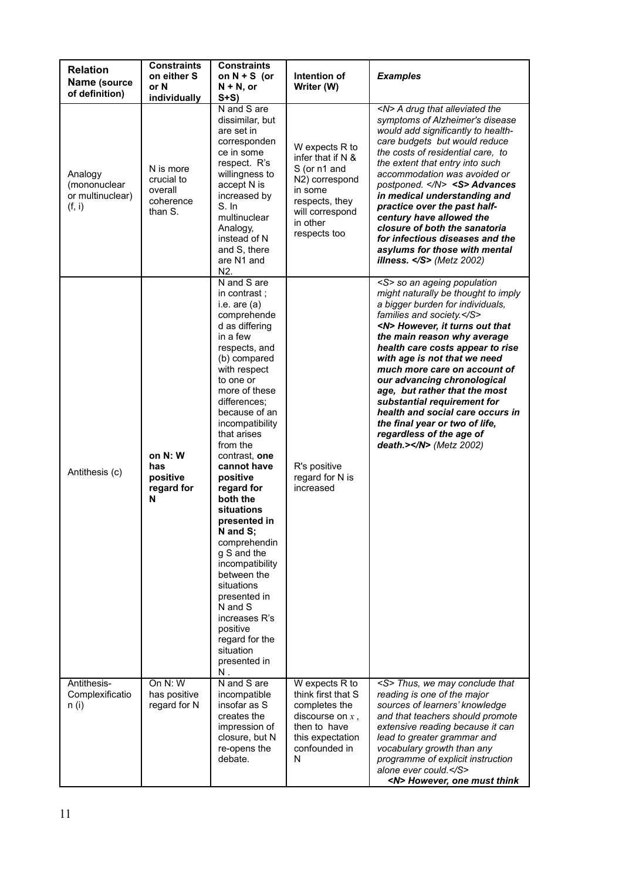| <b>Relation</b><br>Name (source<br>of definition)     | <b>Constraints</b><br>on either S<br>or N<br>individually  | <b>Constraints</b><br>on $N + S$ (or<br>$N + N$ , or<br>$S+S$                                                                                                                                                                                                                                                                                                                                                                                                                                                                                                         | Intention of<br>Writer (W)                                                                                                                          | <b>Examples</b>                                                                                                                                                                                                                                                                                                                                                                                                                                                                                                                                            |
|-------------------------------------------------------|------------------------------------------------------------|-----------------------------------------------------------------------------------------------------------------------------------------------------------------------------------------------------------------------------------------------------------------------------------------------------------------------------------------------------------------------------------------------------------------------------------------------------------------------------------------------------------------------------------------------------------------------|-----------------------------------------------------------------------------------------------------------------------------------------------------|------------------------------------------------------------------------------------------------------------------------------------------------------------------------------------------------------------------------------------------------------------------------------------------------------------------------------------------------------------------------------------------------------------------------------------------------------------------------------------------------------------------------------------------------------------|
| Analogy<br>(mononuclear<br>or multinuclear)<br>(f, i) | N is more<br>crucial to<br>overall<br>coherence<br>than S. | N and S are<br>dissimilar, but<br>are set in<br>corresponden<br>ce in some<br>respect. R's<br>willingness to<br>accept N is<br>increased by<br>S. In<br>multinuclear<br>Analogy,<br>instead of N<br>and S, there<br>are N1 and<br>N <sub>2</sub> .                                                                                                                                                                                                                                                                                                                    | W expects R to<br>infer that if $N$ &<br>S (or n1 and<br>N2) correspond<br>in some<br>respects, they<br>will correspond<br>in other<br>respects too | <n> A drug that alleviated the<br/>symptoms of Alzheimer's disease<br/>would add significantly to health-<br/>care budgets but would reduce<br/>the costs of residential care, to<br/>the extent that entry into such<br/>accommodation was avoided or<br/>postponed. <math>\langle N \rangle</math> <s> Advances<br/>in medical understanding and<br/>practice over the past half-<br/>century have allowed the<br/>closure of both the sanatoria<br/>for infectious diseases and the<br/>asylums for those with mental<br/>illness. </s> (Metz 2002)</n> |
| Antithesis (c)                                        | on N: W<br>has<br>positive<br>regard for<br>N              | N and S are<br>in contrast :<br>i.e. are $(a)$<br>comprehende<br>d as differing<br>in a few<br>respects, and<br>(b) compared<br>with respect<br>to one or<br>more of these<br>differences:<br>because of an<br>incompatibility<br>that arises<br>from the<br>contrast, one<br>cannot have<br>positive<br>regard for<br>both the<br>situations<br>presented in<br>N and S;<br>comprehendin<br>g S and the<br>incompatibility<br>between the<br>situations<br>presented in<br>N and S<br>increases R's<br>positive<br>regard for the<br>situation<br>presented in<br>Ν. | R's positive<br>regard for N is<br>increased                                                                                                        | <s> so an ageing population<br/>might naturally be thought to imply<br/>a bigger burden for individuals,<br/>families and society.</s><br><n> However, it turns out that<br/>the main reason why average<br/>health care costs appear to rise<br/>with age is not that we need<br/>much more care on account of<br/>our advancing chronological<br/>age, but rather that the most<br/>substantial requirement for<br/>health and social care occurs in<br/>the final year or two of life,<br/>regardless of the age of<br/>death.&gt;</n> (Metz 2002)      |
| Antithesis-<br>Complexificatio<br>n (i)               | On N: W<br>has positive<br>regard for N                    | N and S are<br>incompatible<br>insofar as S<br>creates the<br>impression of<br>closure, but N<br>re-opens the<br>debate.                                                                                                                                                                                                                                                                                                                                                                                                                                              | W expects R to<br>think first that S<br>completes the<br>discourse on $x$ ,<br>then to have<br>this expectation<br>confounded in<br>N               | <s> Thus, we may conclude that<br/>reading is one of the major<br/>sources of learners' knowledge<br/>and that teachers should promote<br/>extensive reading because it can<br/>lead to greater grammar and<br/>vocabulary growth than any<br/>programme of explicit instruction<br/>alone ever could.</s><br><n> However, one must think</n>                                                                                                                                                                                                              |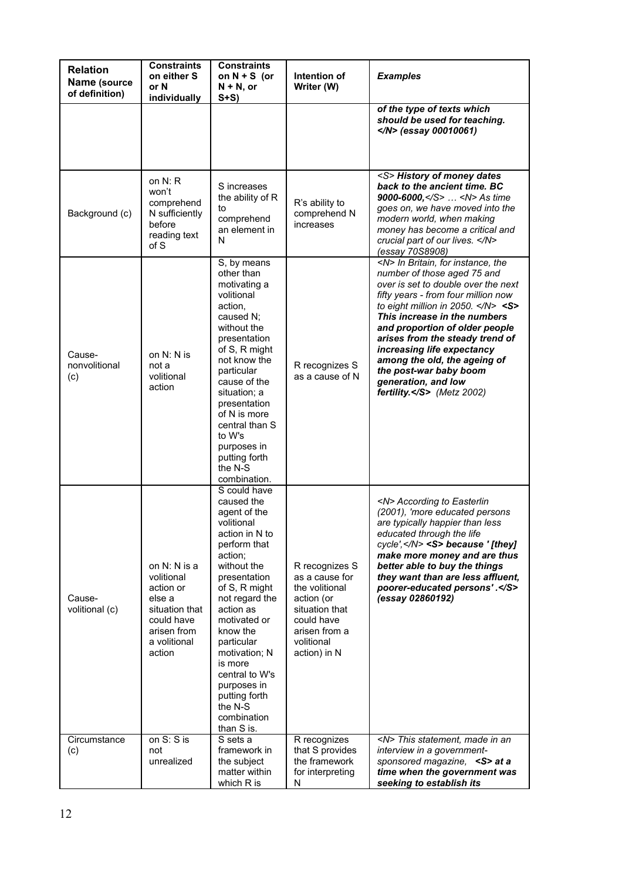| <b>Relation</b><br>Name (source<br>of definition) | <b>Constraints</b><br>on either S<br>or N<br>individually                                                                  | <b>Constraints</b><br>on $N + S$ (or<br>$N + N$ , or<br>$S+S$                                                                                                                                                                                                                                                                                        | Intention of<br>Writer (W)                                                                                                                      | <b>Examples</b>                                                                                                                                                                                                                                                                                                                                                                                                                                                                  |
|---------------------------------------------------|----------------------------------------------------------------------------------------------------------------------------|------------------------------------------------------------------------------------------------------------------------------------------------------------------------------------------------------------------------------------------------------------------------------------------------------------------------------------------------------|-------------------------------------------------------------------------------------------------------------------------------------------------|----------------------------------------------------------------------------------------------------------------------------------------------------------------------------------------------------------------------------------------------------------------------------------------------------------------------------------------------------------------------------------------------------------------------------------------------------------------------------------|
|                                                   |                                                                                                                            |                                                                                                                                                                                                                                                                                                                                                      |                                                                                                                                                 | of the type of texts which<br>should be used for teaching.<br>$<$ /N> (essay 00010061)                                                                                                                                                                                                                                                                                                                                                                                           |
| Background (c)                                    | on $N: R$<br>won't<br>comprehend<br>N sufficiently<br>before<br>reading text<br>of S                                       | S increases<br>the ability of R<br>to<br>comprehend<br>an element in<br>N                                                                                                                                                                                                                                                                            | R's ability to<br>comprehend N<br>increases                                                                                                     | <s> History of money dates<br/>back to the ancient time. BC<br/>9000-6000,</s> <n> As time<br/>goes on, we have moved into the<br/>modern world, when making<br/>money has become a critical and<br/>crucial part of our lives. </n><br>(essay 70S8908)                                                                                                                                                                                                                          |
| Cause-<br>nonvolitional<br>(c)                    | on N: N is<br>not a<br>volitional<br>action                                                                                | S, by means<br>other than<br>motivating a<br>volitional<br>action,<br>caused N;<br>without the<br>presentation<br>of S, R might<br>not know the<br>particular<br>cause of the<br>situation; a<br>presentation<br>of N is more<br>central than S<br>to W's<br>purposes in<br>putting forth<br>the N-S<br>combination.                                 | R recognizes S<br>as a cause of N                                                                                                               | <n> In Britain, for instance, the<br/>number of those aged 75 and<br/>over is set to double over the next<br/>fifty years - from four million now<br/>to eight million in 2050. <math>\langle N \rangle</math> <s><br/>This increase in the numbers<br/>and proportion of older people<br/>arises from the steady trend of<br/>increasing life expectancy<br/>among the old, the ageing of<br/>the post-war baby boom<br/>generation, and low<br/>fertility.</s> (Metz 2002)</n> |
| Cause-<br>volitional (c)                          | on N: N is a<br>volitional<br>action or<br>else a<br>situation that<br>could have<br>arisen from<br>a volitional<br>action | S could have<br>caused the<br>agent of the<br>volitional<br>action in N to<br>perform that<br>action;<br>without the<br>presentation<br>of S, R might<br>not regard the<br>action as<br>motivated or<br>know the<br>particular<br>motivation; N<br>is more<br>central to W's<br>purposes in<br>putting forth<br>the N-S<br>combination<br>than S is. | R recognizes S<br>as a cause for<br>the volitional<br>action (or<br>situation that<br>could have<br>arisen from a<br>volitional<br>action) in N | <n> According to Easterlin<br/>(2001), 'more educated persons<br/>are typically happier than less<br/>educated through the life<br/>cycle',</n> <s> because '[they]<br/>make more money and are thus<br/>better able to buy the things<br/>they want than are less affluent,<br/>poorer-educated persons'.</s><br>(essay 02860192)                                                                                                                                               |
| Circumstance<br>(c)                               | on S: S is<br>not<br>unrealized                                                                                            | S sets a<br>framework in<br>the subject<br>matter within<br>which R is                                                                                                                                                                                                                                                                               | R recognizes<br>that S provides<br>the framework<br>for interpreting<br>N                                                                       | <n> This statement, made in an<br/>interview in a government-<br/>sponsored magazine, <s> at a<br/>time when the government was<br/>seeking to establish its</s></n>                                                                                                                                                                                                                                                                                                             |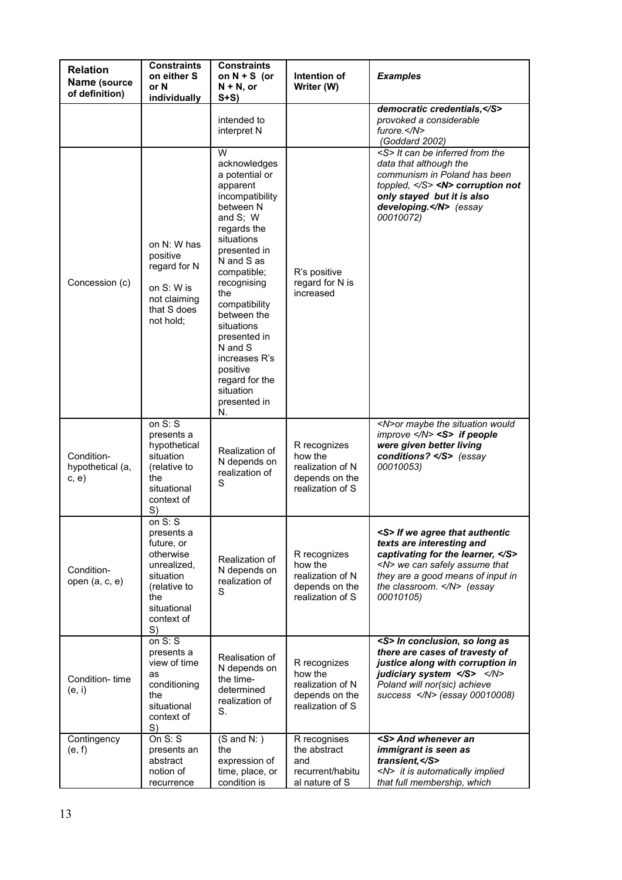| <b>Relation</b><br>Name (source<br>of definition) | <b>Constraints</b><br>on either S<br>or N<br>individually                                                                                | <b>Constraints</b><br>on $N + S$ (or<br>$N + N$ , or<br>$S+S$                                                                                                                                                                                                                                                                                          | Intention of<br>Writer (W)                                                        | <b>Examples</b>                                                                                                                                                                                                                        |
|---------------------------------------------------|------------------------------------------------------------------------------------------------------------------------------------------|--------------------------------------------------------------------------------------------------------------------------------------------------------------------------------------------------------------------------------------------------------------------------------------------------------------------------------------------------------|-----------------------------------------------------------------------------------|----------------------------------------------------------------------------------------------------------------------------------------------------------------------------------------------------------------------------------------|
|                                                   |                                                                                                                                          | intended to<br>interpret N                                                                                                                                                                                                                                                                                                                             |                                                                                   | democratic credentials,<br>provoked a considerable<br>$furore. <$ /N $>$<br>(Goddard 2002)                                                                                                                                             |
| Concession (c)                                    | on N: W has<br>positive<br>regard for N<br>on S: W is<br>not claiming<br>that S does<br>not hold:                                        | w<br>acknowledges<br>a potential or<br>apparent<br>incompatibility<br>between N<br>and S; W<br>regards the<br>situations<br>presented in<br>N and S as<br>compatible;<br>recognising<br>the<br>compatibility<br>between the<br>situations<br>presented in<br>N and S<br>increases R's<br>positive<br>regard for the<br>situation<br>presented in<br>N. | R's positive<br>regard for N is<br>increased                                      | <s> It can be inferred from the<br/>data that although the<br/>communism in Poland has been<br/>toppled, <math>\langle S \rangle</math> <n> corruption not<br/>only stayed but it is also<br/>developing.</n> (essay<br/>00010072)</s> |
| Condition-<br>hypothetical (a,<br>c, e)           | on $S: S$<br>presents a<br>hypothetical<br>situation<br>(relative to<br>the<br>situational<br>context of<br>S)                           | Realization of<br>N depends on<br>realization of<br>S                                                                                                                                                                                                                                                                                                  | R recognizes<br>how the<br>realization of N<br>depends on the<br>realization of S | <n>or maybe the situation would<br/>improve </n> <s> if people<br/>were given better living<br/>conditions? </s> (essay<br>00010053)                                                                                                   |
| Condition-<br>open (a, c, e)                      | on $S: S$<br>presents a<br>future, or<br>otherwise<br>unrealized,<br>situation<br>(relative to<br>the<br>situational<br>context of<br>S) | Realization of<br>N depends on<br>realization of<br>S                                                                                                                                                                                                                                                                                                  | R recognizes<br>how the<br>realization of N<br>depends on the<br>realization of S | <s> If we agree that authentic<br/>texts are interesting and<br/>captivating for the learner, </s><br><n> we can safely assume that<br/>they are a good means of input in<br/>the classroom. </n> (essay<br>00010105)                  |
| Condition-time<br>(e, i)                          | on $S: S$<br>presents a<br>view of time<br>as<br>conditioning<br>the<br>situational<br>context of<br>S)                                  | Realisation of<br>N depends on<br>the time-<br>determined<br>realization of<br>S.                                                                                                                                                                                                                                                                      | R recognizes<br>how the<br>realization of N<br>depends on the<br>realization of S | <s> In conclusion, so long as<br/>there are cases of travesty of<br/>justice along with corruption in<br/>judiciary system </s><br>Poland will nor(sic) achieve<br>success  (essay 00010008)                                           |
| Contingency<br>(e, f)                             | On $S: S$<br>presents an<br>abstract<br>notion of<br>recurrence                                                                          | $(S \text{ and } N: )$<br>the<br>expression of<br>time, place, or<br>condition is                                                                                                                                                                                                                                                                      | R recognises<br>the abstract<br>and<br>recurrent/habitu<br>al nature of S         | <s> And whenever an<br/>immigrant is seen as<br/>transient, </s><br><n> it is automatically implied<br/>that full membership, which</n>                                                                                                |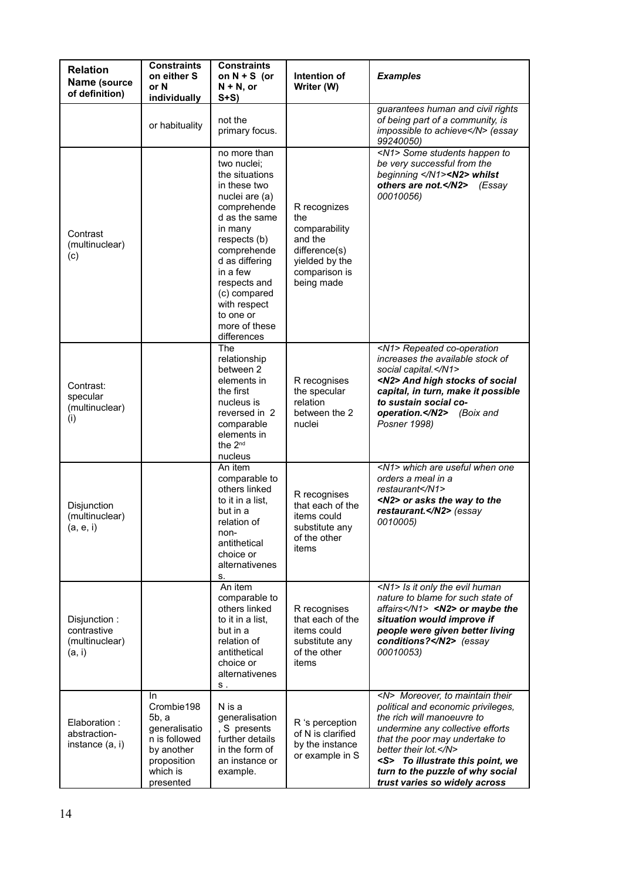| <b>Relation</b><br>Name (source<br>of definition)       | <b>Constraints</b><br>on either S<br>or N<br>individually                                                          | <b>Constraints</b><br>on $N + S$ (or<br>$N + N$ , or<br>$S+S$                                                                                                                                                                                                                        | Intention of<br>Writer (W)                                                                                        | <b>Examples</b>                                                                                                                                                                                                                                                                                                         |
|---------------------------------------------------------|--------------------------------------------------------------------------------------------------------------------|--------------------------------------------------------------------------------------------------------------------------------------------------------------------------------------------------------------------------------------------------------------------------------------|-------------------------------------------------------------------------------------------------------------------|-------------------------------------------------------------------------------------------------------------------------------------------------------------------------------------------------------------------------------------------------------------------------------------------------------------------------|
|                                                         | or habituality                                                                                                     | not the<br>primary focus.                                                                                                                                                                                                                                                            |                                                                                                                   | guarantees human and civil rights<br>of being part of a community, is<br>impossible to achieve (essay<br>99240050)                                                                                                                                                                                                      |
| Contrast<br>(multinuclear)<br>(c)                       |                                                                                                                    | no more than<br>two nuclei;<br>the situations<br>in these two<br>nuclei are (a)<br>comprehende<br>d as the same<br>in many<br>respects (b)<br>comprehende<br>d as differing<br>in a few<br>respects and<br>(c) compared<br>with respect<br>to one or<br>more of these<br>differences | R recognizes<br>the<br>comparability<br>and the<br>difference(s)<br>yielded by the<br>comparison is<br>being made | <n1> Some students happen to<br/>be very successful from the<br/>beginning </n1> <n2> whilst<br/>others are not.</n2><br>(Essav<br>00010056)                                                                                                                                                                            |
| Contrast:<br>specular<br>(multinuclear)<br>(i)          |                                                                                                                    | The<br>relationship<br>between 2<br>elements in<br>the first<br>nucleus is<br>reversed in 2<br>comparable<br>elements in<br>the 2 <sup>nd</sup><br>nucleus                                                                                                                           | R recognises<br>the specular<br>relation<br>between the 2<br>nuclei                                               | <n1> Repeated co-operation<br/>increases the available stock of<br/>social capital.</n1><br><n2> And high stocks of social<br/>capital, in turn, make it possible<br/>to sustain social co-<br/>operation.</n2><br>(Boix and<br>Posner 1998)                                                                            |
| Disjunction<br>(multinuclear)<br>(a, e, i)              |                                                                                                                    | An item<br>comparable to<br>others linked<br>to it in a list.<br>but in a<br>relation of<br>non-<br>antithetical<br>choice or<br>alternativenes<br>S.                                                                                                                                | R recognises<br>that each of the<br>items could<br>substitute any<br>of the other<br>items                        | <n1> which are useful when one<br/>orders a meal in a<br/>restaurant</n1><br><n2> or asks the way to the<br/>restaurant.</n2> (essay<br>0010005)                                                                                                                                                                        |
| Disjunction:<br>contrastive<br>(multinuclear)<br>(a, i) |                                                                                                                    | An item<br>comparable to<br>others linked<br>to it in a list.<br>but in a<br>relation of<br>antithetical<br>choice or<br>alternativenes<br>S.                                                                                                                                        | R recognises<br>that each of the<br>items could<br>substitute any<br>of the other<br>items                        | <n1> Is it only the evil human<br/>nature to blame for such state of<br/>affairs</n1> <n2> or maybe the<br/>situation would improve if<br/>people were given better living<br/>conditions?</n2> (essay<br>00010053)                                                                                                     |
| Elaboration:<br>abstraction-<br>instance (a, i)         | In.<br>Crombie198<br>5b, a<br>generalisatio<br>n is followed<br>by another<br>proposition<br>which is<br>presented | N is a<br>generalisation<br>S presents<br>further details<br>in the form of<br>an instance or<br>example.                                                                                                                                                                            | R 's perception<br>of N is clarified<br>by the instance<br>or example in S                                        | <n> Moreover, to maintain their<br/>political and economic privileges,<br/>the rich will manoeuvre to<br/>undermine any collective efforts<br/>that the poor may undertake to<br/>better their lot. </n><br><s> To illustrate this point, we<br/>turn to the puzzle of why social<br/>trust varies so widely across</s> |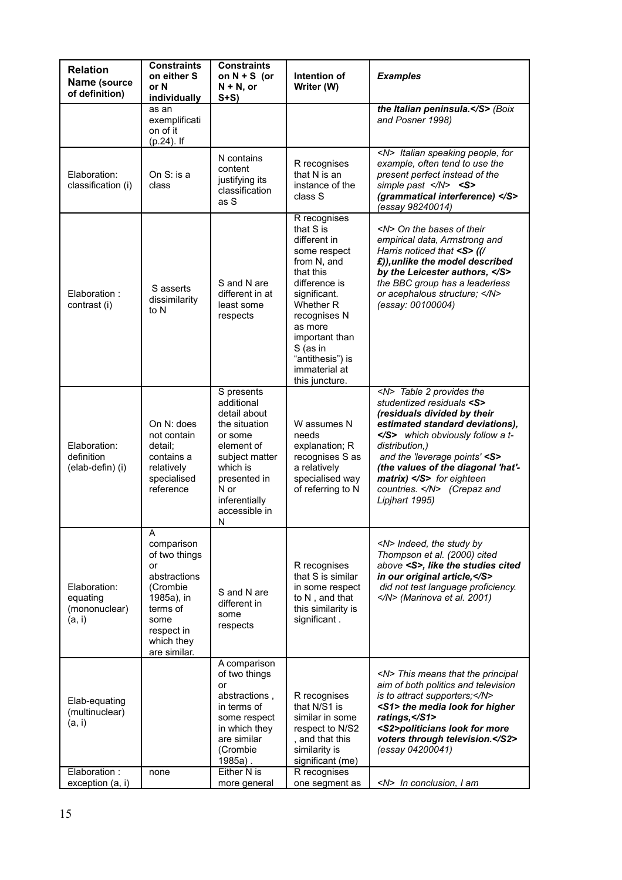| <b>Relation</b><br>Name (source<br>of definition)   | <b>Constraints</b><br>on either S<br>or N<br>individually                                                                                        | <b>Constraints</b><br>on $N + S$ (or<br>$N + N$ , or<br>$S+S$                                                                                                                   | Intention of<br>Writer (W)                                                                                                                                                                                                                          | <b>Examples</b>                                                                                                                                                                                                                                                                                                                             |
|-----------------------------------------------------|--------------------------------------------------------------------------------------------------------------------------------------------------|---------------------------------------------------------------------------------------------------------------------------------------------------------------------------------|-----------------------------------------------------------------------------------------------------------------------------------------------------------------------------------------------------------------------------------------------------|---------------------------------------------------------------------------------------------------------------------------------------------------------------------------------------------------------------------------------------------------------------------------------------------------------------------------------------------|
|                                                     | as an<br>exemplificati<br>on of it<br>(p.24). If                                                                                                 |                                                                                                                                                                                 |                                                                                                                                                                                                                                                     | the Italian peninsula. (Boix<br>and Posner 1998)                                                                                                                                                                                                                                                                                            |
| Elaboration:<br>classification (i)                  | On S: is a<br>class                                                                                                                              | N contains<br>content<br>justifying its<br>classification<br>as S                                                                                                               | R recognises<br>that N is an<br>instance of the<br>class S                                                                                                                                                                                          | <n> Italian speaking people, for<br/>example, often tend to use the<br/>present perfect instead of the<br/>simple past <math>\langle N \rangle</math> <s><br/>(grammatical interference) </s><br/>(essay 98240014)</n>                                                                                                                      |
| Elaboration:<br>contrast (i)                        | S asserts<br>dissimilarity<br>to N                                                                                                               | S and N are<br>different in at<br>least some<br>respects                                                                                                                        | R recognises<br>that S is<br>different in<br>some respect<br>from N, and<br>that this<br>difference is<br>significant.<br>Whether R<br>recognises N<br>as more<br>important than<br>S (as in<br>"antithesis") is<br>immaterial at<br>this juncture. | <n> On the bases of their<br/>empirical data, Armstrong and<br/>Harris noticed that <s> ((/<br/>£)), unlike the model described<br/>by the Leicester authors, </s><br/>the BBC group has a leaderless<br/>or acephalous structure; </n><br>(essay: 00100004)                                                                                |
| Elaboration:<br>definition<br>(elab-defin) (i)      | On N: does<br>not contain<br>detail:<br>contains a<br>relatively<br>specialised<br>reference                                                     | S presents<br>additional<br>detail about<br>the situation<br>or some<br>element of<br>subject matter<br>which is<br>presented in<br>N or<br>inferentially<br>accessible in<br>N | W assumes N<br>needs<br>explanation; R<br>recognises S as<br>a relatively<br>specialised way<br>of referring to N                                                                                                                                   | <n> Table 2 provides the<br/>studentized residuals <s><br/>(residuals divided by their<br/>estimated standard deviations),<br/></s> which obviously follow a t-<br/>distribution.)<br/>and the 'leverage points' <s><br/>(the values of the diagonal 'hat'-<br/>matrix) </s> for eighteen<br/>countries. </n> (Crepaz and<br>Lipjhart 1995) |
| Elaboration:<br>equating<br>(mononuclear)<br>(a, i) | A<br>comparison<br>of two things<br>or<br>abstractions<br>(Crombie<br>1985a), in<br>terms of<br>some<br>respect in<br>which they<br>are similar. | S and N are<br>different in<br>some<br>respects                                                                                                                                 | R recognises<br>that S is similar<br>in some respect<br>to N, and that<br>this similarity is<br>significant.                                                                                                                                        | <n> Indeed, the study by<br/>Thompson et al. (2000) cited<br/>above <s>, like the studies cited<br/>in our original article, </s><br/>did not test language proficiency.<br/></n> (Marinova et al. 2001)                                                                                                                                    |
| Elab-equating<br>(multinuclear)<br>(a, i)           |                                                                                                                                                  | A comparison<br>of two things<br>or<br>abstractions,<br>in terms of<br>some respect<br>in which they<br>are similar<br>(Crombie<br>$1985a$ .                                    | R recognises<br>that N/S1 is<br>similar in some<br>respect to N/S2<br>, and that this<br>similarity is<br>significant (me)                                                                                                                          | <n> This means that the principal<br/>aim of both politics and television<br/>is to attract supporters;</n><br><s1> the media look for higher<br/>ratings, </s1><br><s2>politicians look for more<br/>voters through television.</s2><br>(essay 04200041)                                                                                   |
| Elaboration:<br>exception (a, i)                    | none                                                                                                                                             | Either N is<br>more general                                                                                                                                                     | R recognises<br>one segment as                                                                                                                                                                                                                      | <n> In conclusion, I am</n>                                                                                                                                                                                                                                                                                                                 |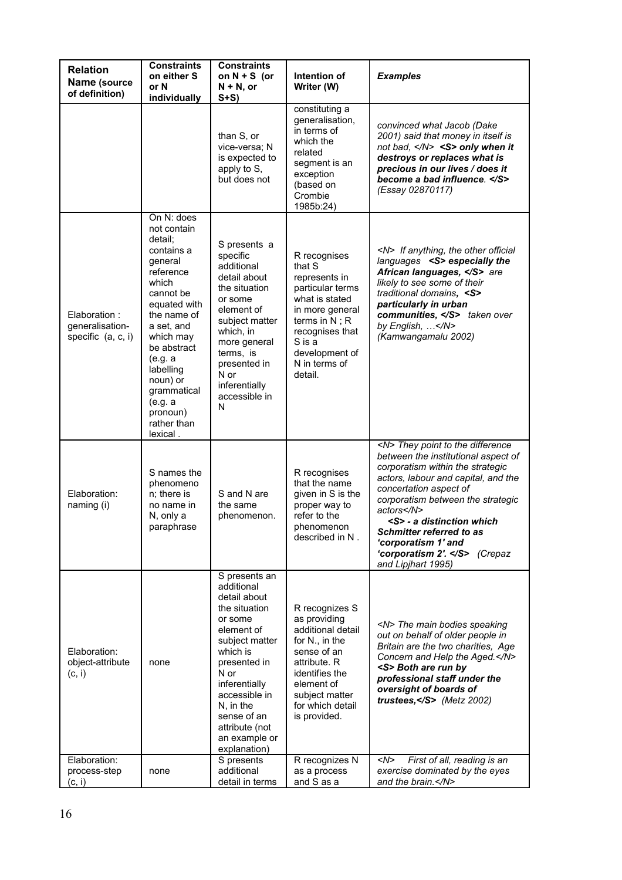| <b>Relation</b><br>Name (source<br>of definition)     | <b>Constraints</b><br>on either S<br>or N<br>individually                                                                                                                                                                                                                      | <b>Constraints</b><br>on $N + S$ (or<br>$N + N$ , or<br>$S+S$                                                                                                                                                                                                | Intention of<br>Writer (W)                                                                                                                                                                      | <b>Examples</b>                                                                                                                                                                                                                                                                                                                                                                        |
|-------------------------------------------------------|--------------------------------------------------------------------------------------------------------------------------------------------------------------------------------------------------------------------------------------------------------------------------------|--------------------------------------------------------------------------------------------------------------------------------------------------------------------------------------------------------------------------------------------------------------|-------------------------------------------------------------------------------------------------------------------------------------------------------------------------------------------------|----------------------------------------------------------------------------------------------------------------------------------------------------------------------------------------------------------------------------------------------------------------------------------------------------------------------------------------------------------------------------------------|
|                                                       |                                                                                                                                                                                                                                                                                | than S, or<br>vice-versa; N<br>is expected to<br>apply to S,<br>but does not                                                                                                                                                                                 | constituting a<br>generalisation,<br>in terms of<br>which the<br>related<br>segment is an<br>exception<br>(based on<br>Crombie<br>1985b:24)                                                     | convinced what Jacob (Dake<br>2001) said that money in itself is<br>not bad, <s> only when it<br/>destroys or replaces what is<br/>precious in our lives / does it<br/>become a bad influence. </s><br>(Essay 02870117)                                                                                                                                                                |
| Elaboration:<br>generalisation-<br>specific (a, c, i) | On N: does<br>not contain<br>detail;<br>contains a<br>general<br>reference<br>which<br>cannot be<br>equated with<br>the name of<br>a set, and<br>which may<br>be abstract<br>(e.g. a<br>labelling<br>noun) or<br>grammatical<br>(e.g. a<br>pronoun)<br>rather than<br>lexical. | S presents a<br>specific<br>additional<br>detail about<br>the situation<br>or some<br>element of<br>subject matter<br>which, in<br>more general<br>terms, is<br>presented in<br>N or<br>inferentially<br>accessible in<br>N                                  | R recognises<br>that S<br>represents in<br>particular terms<br>what is stated<br>in more general<br>terms in $N$ ; R<br>recognises that<br>S is a<br>development of<br>N in terms of<br>detail. | <n> If anything, the other official<br/>languages <s> especially the<br/>African languages, </s> are<br/>likely to see some of their<br/>traditional domains, <s><br/>particularly in urban<br/>communities, </s> taken over<br/>by English, </n><br>(Kamwangamalu 2002)                                                                                                               |
| Elaboration:<br>naming (i)                            | S names the<br>phenomeno<br>n; there is<br>no name in<br>N, only a<br>paraphrase                                                                                                                                                                                               | S and N are<br>the same<br>phenomenon.                                                                                                                                                                                                                       | R recognises<br>that the name<br>given in S is the<br>proper way to<br>refer to the<br>phenomenon<br>described in N.                                                                            | <n> They point to the difference<br/>between the institutional aspect of<br/>corporatism within the strategic<br/>actors, labour and capital, and the<br/>concertation aspect of<br/>corporatism between the strategic<br/>actors</n><br><s> - a distinction which<br/><b>Schmitter referred to as</b><br/>'corporatism 1' and<br/>'corporatism 2'. </s> (Crepaz<br>and Lipjhart 1995) |
| Elaboration:<br>object-attribute<br>(c, i)            | none                                                                                                                                                                                                                                                                           | S presents an<br>additional<br>detail about<br>the situation<br>or some<br>element of<br>subject matter<br>which is<br>presented in<br>N or<br>inferentially<br>accessible in<br>N, in the<br>sense of an<br>attribute (not<br>an example or<br>explanation) | R recognizes S<br>as providing<br>additional detail<br>for N., in the<br>sense of an<br>attribute. R<br>identifies the<br>element of<br>subject matter<br>for which detail<br>is provided.      | <n> The main bodies speaking<br/>out on behalf of older people in<br/>Britain are the two charities, Age<br/>Concern and Help the Aged.</n><br><s> Both are run by<br/>professional staff under the<br/>oversight of boards of<br/>trustees,</s> (Metz 2002)                                                                                                                           |
| Elaboration:<br>process-step<br>(c, i)                | none                                                                                                                                                                                                                                                                           | S presents<br>additional<br>detail in terms                                                                                                                                                                                                                  | R recognizes N<br>as a process<br>and S as a                                                                                                                                                    | <n><br/>First of all, reading is an<br/>exercise dominated by the eyes<br/>and the brain.</n>                                                                                                                                                                                                                                                                                          |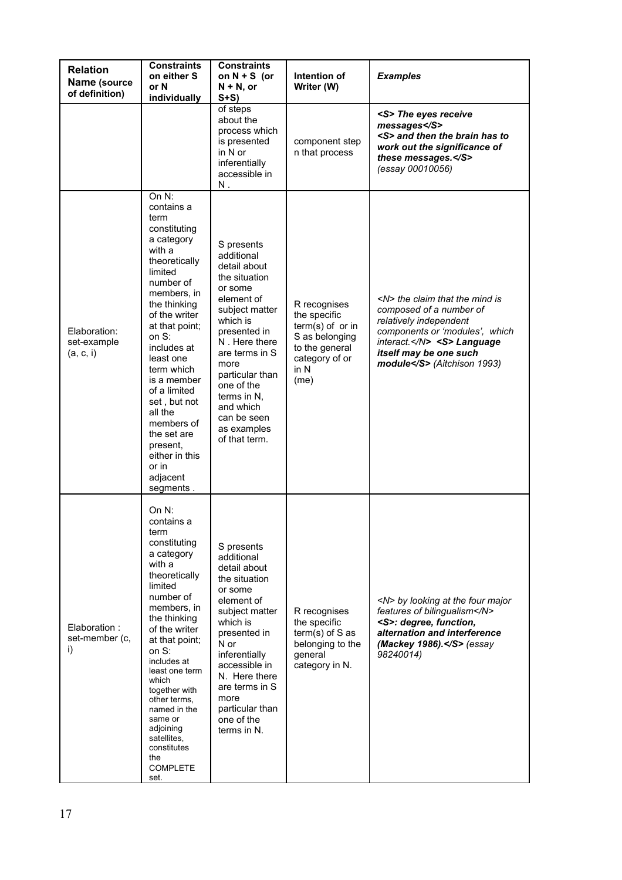| <b>Relation</b><br>Name (source<br>of definition) | <b>Constraints</b><br>on either S<br>or N<br>individually                                                                                                                                                                                                                                                                                                                                | <b>Constraints</b><br>on $N + S$ (or<br>$N + N$ , or<br>$S+S$                                                                                                                                                                                                                           | Intention of<br>Writer (W)                                                                                                            | <b>Examples</b>                                                                                                                                                                                                    |
|---------------------------------------------------|------------------------------------------------------------------------------------------------------------------------------------------------------------------------------------------------------------------------------------------------------------------------------------------------------------------------------------------------------------------------------------------|-----------------------------------------------------------------------------------------------------------------------------------------------------------------------------------------------------------------------------------------------------------------------------------------|---------------------------------------------------------------------------------------------------------------------------------------|--------------------------------------------------------------------------------------------------------------------------------------------------------------------------------------------------------------------|
|                                                   |                                                                                                                                                                                                                                                                                                                                                                                          | of steps<br>about the<br>process which<br>is presented<br>in N or<br>inferentially<br>accessible in<br>Ν.                                                                                                                                                                               | component step<br>n that process                                                                                                      | <s> The eyes receive<br/>messages</s><br><s> and then the brain has to<br/>work out the significance of<br/>these messages.</s><br>(essay 00010056)                                                                |
| Elaboration:<br>set-example<br>(a, c, i)          | On N:<br>contains a<br>term<br>constituting<br>a category<br>with a<br>theoretically<br>limited<br>number of<br>members, in<br>the thinking<br>of the writer<br>at that point;<br>on S:<br>includes at<br>least one<br>term which<br>is a member<br>of a limited<br>set, but not<br>all the<br>members of<br>the set are<br>present,<br>either in this<br>or in<br>adjacent<br>segments. | S presents<br>additional<br>detail about<br>the situation<br>or some<br>element of<br>subject matter<br>which is<br>presented in<br>N. Here there<br>are terms in S<br>more<br>particular than<br>one of the<br>terms in N,<br>and which<br>can be seen<br>as examples<br>of that term. | R recognises<br>the specific<br>$term(s)$ of or in<br>S as belonging<br>to the general<br>category of or<br>in N<br>(m <sub>e</sub> ) | <n> the claim that the mind is<br/>composed of a number of<br/>relatively independent<br/>components or 'modules', which<br/>interact.</n> <s> Language<br/>itself may be one such<br/>module</s> (Aitchison 1993) |
| Elaboration:<br>set-member (c,<br>i)              | On $N$ :<br>contains a<br>term<br>constituting<br>a category<br>with a<br>theoretically<br>limited<br>number of<br>members, in<br>the thinking<br>of the writer<br>at that point;<br>on S:<br>includes at<br>least one term<br>which<br>together with<br>other terms,<br>named in the<br>same or<br>adjoining<br>satellites,<br>constitutes<br>the<br><b>COMPLETE</b><br>set.            | S presents<br>additional<br>detail about<br>the situation<br>or some<br>element of<br>subject matter<br>which is<br>presented in<br>N or<br>inferentially<br>accessible in<br>N. Here there<br>are terms in S<br>more<br>particular than<br>one of the<br>terms in N.                   | R recognises<br>the specific<br>$term(s)$ of S as<br>belonging to the<br>general<br>category in N.                                    | <n> by looking at the four major<br/>features of bilingualism</n><br><s>: degree, function,<br/>alternation and interference<br/>(Mackey 1986).</s> (essay<br>98240014)                                            |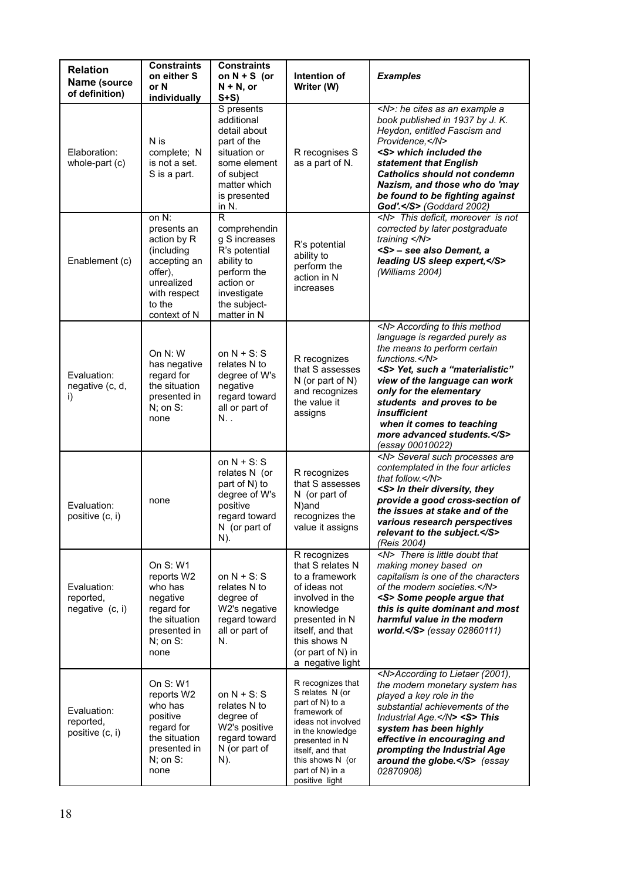| <b>Relation</b><br>Name (source<br>of definition) | <b>Constraints</b><br>on either S<br>or N<br>individually                                                                            | <b>Constraints</b><br>on $N + S$ (or<br>$N + N$ , or<br>$S+S$                                                                                                     | Intention of<br>Writer (W)                                                                                                                                                                                       | <b>Examples</b>                                                                                                                                                                                                                                                                                                                                              |
|---------------------------------------------------|--------------------------------------------------------------------------------------------------------------------------------------|-------------------------------------------------------------------------------------------------------------------------------------------------------------------|------------------------------------------------------------------------------------------------------------------------------------------------------------------------------------------------------------------|--------------------------------------------------------------------------------------------------------------------------------------------------------------------------------------------------------------------------------------------------------------------------------------------------------------------------------------------------------------|
| Elaboration:<br>whole-part (c)                    | N is<br>complete; N<br>is not a set.<br>S is a part.                                                                                 | S presents<br>additional<br>detail about<br>part of the<br>situation or<br>some element<br>of subject<br>matter which<br>is presented<br>in N.                    | R recognises S<br>as a part of N.                                                                                                                                                                                | <n>: he cites as an example a<br/>book published in 1937 by J.K.<br/>Heydon, entitled Fascism and<br/>Providence, </n><br><s> which included the<br/>statement that English<br/><b>Catholics should not condemn</b><br/>Nazism, and those who do 'may<br/>be found to be fighting against<br/>God'.</s> (Goddard 2002)                                       |
| Enablement (c)                                    | on N:<br>presents an<br>action by R<br>(including<br>accepting an<br>offer),<br>unrealized<br>with respect<br>to the<br>context of N | $\overline{\mathsf{R}}$<br>comprehendin<br>g S increases<br>R's potential<br>ability to<br>perform the<br>action or<br>investigate<br>the subject-<br>matter in N | R's potential<br>ability to<br>perform the<br>action in N<br>increases                                                                                                                                           | <n> This deficit, moreover is not<br/>corrected by later postgraduate<br/>training </n><br><s> - see also Dement, a<br/>leading US sleep expert, </s><br>(Williams 2004)                                                                                                                                                                                     |
| Evaluation:<br>negative (c, d,<br>i)              | On $N: W$<br>has negative<br>regard for<br>the situation<br>presented in<br>$N$ ; on $S$ :<br>none                                   | on $N + S$ : S<br>relates N to<br>degree of W's<br>negative<br>regard toward<br>all or part of<br>N.,                                                             | R recognizes<br>that S assesses<br>N (or part of N)<br>and recognizes<br>the value it<br>assigns                                                                                                                 | <n> According to this method<br/>language is regarded purely as<br/>the means to perform certain<br/>functions.</n><br><s> Yet, such a "materialistic"<br/>view of the language can work<br/>only for the elementary<br/>students and proves to be<br/><i>insufficient</i><br/>when it comes to teaching<br/>more advanced students.</s><br>(essay 00010022) |
| Evaluation:<br>positive (c, i)                    | none                                                                                                                                 | on $N + S$ : S<br>relates N (or<br>part of N) to<br>degree of W's<br>positive<br>regard toward<br>N (or part of<br>N).                                            | R recognizes<br>that S assesses<br>N (or part of<br>N)and<br>recognizes the<br>value it assigns                                                                                                                  | <n> Several such processes are<br/>contemplated in the four articles<br/>that follow.</n><br><s> In their diversity, they<br/>provide a good cross-section of<br/>the issues at stake and of the<br/>various research perspectives<br/>relevant to the subject.</s><br>(Reis 2004)                                                                           |
| Evaluation:<br>reported,<br>negative (c, i)       | On S: W1<br>reports W2<br>who has<br>negative<br>regard for<br>the situation<br>presented in<br>$N$ ; on S:<br>none                  | on $N + S: S$<br>relates N to<br>degree of<br>W2's negative<br>regard toward<br>all or part of<br>N.                                                              | R recognizes<br>that S relates N<br>to a framework<br>of ideas not<br>involved in the<br>knowledge<br>presented in N<br>itself, and that<br>this shows N<br>(or part of N) in<br>a negative light                | <n> There is little doubt that<br/>making money based on<br/>capitalism is one of the characters<br/>of the modern societies.</n><br><s> Some people argue that<br/>this is quite dominant and most<br/>harmful value in the modern<br/>world.<math>&lt;</math>/S&gt; (essay 02860111)</s>                                                                   |
| Evaluation:<br>reported,<br>positive (c, i)       | On S: W1<br>reports W2<br>who has<br>positive<br>regard for<br>the situation<br>presented in<br>$N$ ; on S:<br>none                  | on $N + S$ : S<br>relates N to<br>degree of<br>W2's positive<br>regard toward<br>N (or part of<br>N).                                                             | R recognizes that<br>S relates N (or<br>part of N) to a<br>framework of<br>ideas not involved<br>in the knowledge<br>presented in N<br>itself, and that<br>this shows N (or<br>part of N) in a<br>positive light | <n>According to Lietaer (2001),<br/>the modern monetary system has<br/>played a key role in the<br/>substantial achievements of the<br/>Industrial Age.</n> <s> This<br/>system has been highly<br/>effective in encouraging and<br/>prompting the Industrial Age<br/>around the globe.</s> (essay<br>02870908)                                              |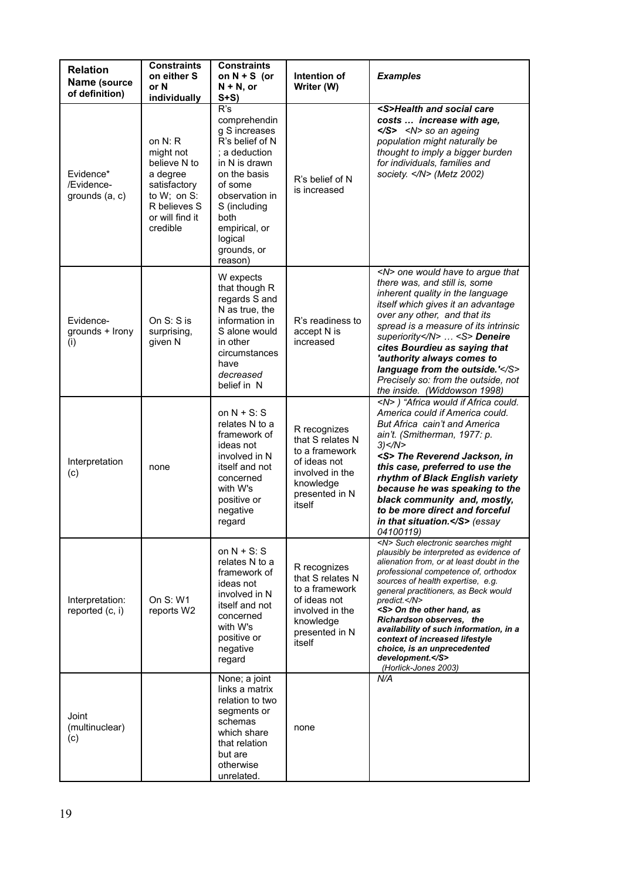| <b>Relation</b><br>Name (source<br>of definition) | <b>Constraints</b><br>on either S<br>or N                                                                                                        | <b>Constraints</b><br>on $N + S$ (or<br>$N + N$ , or                                                                                                                                                                          | Intention of<br>Writer (W)                                                                                                     | <b>Examples</b>                                                                                                                                                                                                                                                                                                                                                                                                                                                                            |
|---------------------------------------------------|--------------------------------------------------------------------------------------------------------------------------------------------------|-------------------------------------------------------------------------------------------------------------------------------------------------------------------------------------------------------------------------------|--------------------------------------------------------------------------------------------------------------------------------|--------------------------------------------------------------------------------------------------------------------------------------------------------------------------------------------------------------------------------------------------------------------------------------------------------------------------------------------------------------------------------------------------------------------------------------------------------------------------------------------|
| Evidence*<br>/Evidence-<br>grounds (a, c)         | individually<br>on $N: R$<br>might not<br>believe N to<br>a degree<br>satisfactory<br>to W; on S:<br>R believes S<br>or will find it<br>credible | $S+S$<br>R's<br>comprehendin<br>g S increases<br>R's belief of N<br>: a deduction<br>in N is drawn<br>on the basis<br>of some<br>observation in<br>S (including<br>both<br>empirical, or<br>logical<br>grounds, or<br>reason) | R's belief of N<br>is increased                                                                                                | <s>Health and social care<br/>costs  increase with age,<br/><math>&lt;</math>/S&gt; <math>&lt;</math>N&gt; so an ageing<br/>population might naturally be<br/>thought to imply a bigger burden<br/>for individuals, families and<br/>society.  (Metz 2002)</s>                                                                                                                                                                                                                             |
| Evidence-<br>grounds + Irony<br>(i)               | On $S: S$ is<br>surprising,<br>given N                                                                                                           | W expects<br>that though R<br>regards S and<br>N as true, the<br>information in<br>S alone would<br>in other<br>circumstances<br>have<br>decreased<br>belief in N                                                             | R's readiness to<br>accept N is<br>increased                                                                                   | <n> one would have to argue that<br/>there was, and still is, some<br/>inherent quality in the language<br/>itself which gives it an advantage<br/>over any other, and that its<br/>spread is a measure of its intrinsic<br/>superiority</n> <s> Deneire<br/>cites Bourdieu as saying that<br/>'authority always comes to<br/>language from the outside.'</s><br>Precisely so: from the outside, not<br>the inside. (Widdowson 1998)                                                       |
| Interpretation<br>(c)                             | none                                                                                                                                             | on $N + S$ : S<br>relates N to a<br>framework of<br>ideas not<br>involved in N<br>itself and not<br>concerned<br>with W's<br>positive or<br>negative<br>regard                                                                | R recognizes<br>that S relates N<br>to a framework<br>of ideas not<br>involved in the<br>knowledge<br>presented in N<br>itself | <n>) "Africa would if Africa could.<br/>America could if America could.<br/>But Africa cain't and America<br/>ain't. (Smitherman, 1977: p.<br/>3) &lt; /N &gt;<br/><s> The Reverend Jackson, in<br/>this case, preferred to use the<br/>rhythm of Black English variety<br/>because he was speaking to the<br/>black community and, mostly,<br/>to be more direct and forceful<br/>in that situation.<math>\le</math>/S&gt; (essay<br/>04100119)</s></n>                                   |
| Interpretation:<br>reported (c, i)                | On S: W1<br>reports W2                                                                                                                           | on $N + S$ : S<br>relates N to a<br>framework of<br>ideas not<br>involved in N<br>itself and not<br>concerned<br>with W's<br>positive or<br>negative<br>regard                                                                | R recognizes<br>that S relates N<br>to a framework<br>of ideas not<br>involved in the<br>knowledge<br>presented in N<br>itself | <n> Such electronic searches might<br/>plausibly be interpreted as evidence of<br/>alienation from, or at least doubt in the<br/>professional competence of, orthodox<br/>sources of health expertise, e.g.<br/>general practitioners, as Beck would<br/>predict.</n><br><s> On the other hand, as<br/>Richardson observes, the<br/>availability of such information, in a<br/>context of increased lifestyle<br/>choice, is an unprecedented<br/>development.</s><br>(Horlick-Jones 2003) |
| Joint<br>(multinuclear)<br>(c)                    |                                                                                                                                                  | None; a joint<br>links a matrix<br>relation to two<br>segments or<br>schemas<br>which share<br>that relation<br>but are<br>otherwise<br>unrelated.                                                                            | none                                                                                                                           | N/A                                                                                                                                                                                                                                                                                                                                                                                                                                                                                        |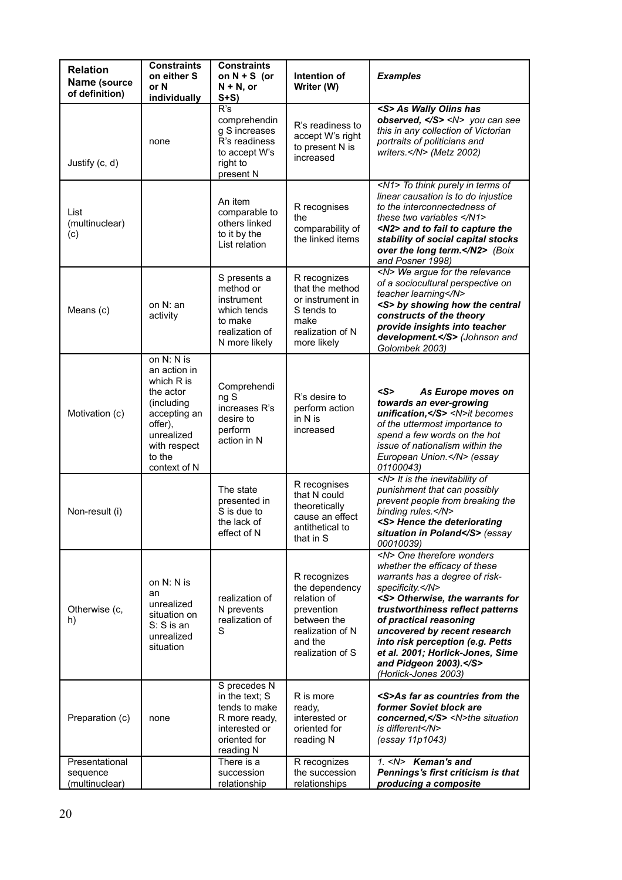| <b>Relation</b><br>Name (source              | <b>Constraints</b><br>on either S<br>or N                                                                                                               | <b>Constraints</b><br>on $N + S$ (or<br>$N + N$ , or                                                           | Intention of<br>Writer (W)                                                                                                    | <b>Examples</b>                                                                                                                                                                                                                                                                                                                                                                      |
|----------------------------------------------|---------------------------------------------------------------------------------------------------------------------------------------------------------|----------------------------------------------------------------------------------------------------------------|-------------------------------------------------------------------------------------------------------------------------------|--------------------------------------------------------------------------------------------------------------------------------------------------------------------------------------------------------------------------------------------------------------------------------------------------------------------------------------------------------------------------------------|
| of definition)                               | individually                                                                                                                                            | $S+S$                                                                                                          |                                                                                                                               |                                                                                                                                                                                                                                                                                                                                                                                      |
| Justify (c, d)                               | none                                                                                                                                                    | R's<br>comprehendin<br>g S increases<br>R's readiness<br>to accept W's<br>right to<br>present N                | R's readiness to<br>accept W's right<br>to present N is<br>increased                                                          | <s> As Wally Olins has<br/>observed, <math>\le</math>/S&gt; <math>\le</math>N&gt; you can see<br/>this in any collection of Victorian<br/>portraits of politicians and<br/>writers. (Metz 2002)</s>                                                                                                                                                                                  |
| List<br>(multinuclear)<br>(c)                |                                                                                                                                                         | An item<br>comparable to<br>others linked<br>to it by the<br>List relation                                     | R recognises<br>the<br>comparability of<br>the linked items                                                                   | <n1> To think purely in terms of<br/>linear causation is to do injustice<br/>to the interconnectedness of<br/>these two variables <math>\leq N1</math>&gt;<br/><n2> and to fail to capture the<br/>stability of social capital stocks<br/>over the long term.</n2> (Boix<br/>and Posner 1998)</n1>                                                                                   |
| Means (c)                                    | on N: an<br>activity                                                                                                                                    | S presents a<br>method or<br>instrument<br>which tends<br>to make<br>realization of<br>N more likely           | R recognizes<br>that the method<br>or instrument in<br>S tends to<br>make<br>realization of N<br>more likely                  | <n> We argue for the relevance<br/>of a sociocultural perspective on<br/>teacher learning</n><br><s> by showing how the central<br/>constructs of the theory<br/>provide insights into teacher<br/>development.</s> (Johnson and<br>Golombek 2003)                                                                                                                                   |
| Motivation (c)                               | on N: N is<br>an action in<br>which R is<br>the actor<br>(including)<br>accepting an<br>offer),<br>unrealized<br>with respect<br>to the<br>context of N | Comprehendi<br>ng S<br>increases R's<br>desire to<br>perform<br>action in N                                    | R's desire to<br>perform action<br>in N is<br>increased                                                                       | $<$ S><br>As Europe moves on<br>towards an ever-growing<br>unification, <n>it becomes<br/>of the uttermost importance to<br/>spend a few words on the hot<br/>issue of nationalism within the<br/>European Union.</n> (essay<br>01100043)                                                                                                                                            |
| Non-result (i)                               |                                                                                                                                                         | The state<br>presented in<br>S is due to<br>the lack of<br>effect of N                                         | R recognises<br>that N could<br>theoretically<br>cause an effect<br>antithetical to<br>that in S                              | <n> It is the inevitability of<br/>punishment that can possibly<br/>prevent people from breaking the<br/>binding rules.</n><br><s> Hence the deteriorating<br/>situation in Poland</s> (essay<br>00010039)                                                                                                                                                                           |
| Otherwise (c,<br>h)                          | on N: N is<br>an<br>unrealized<br>situation on<br>S: S is an<br>unrealized<br>situation                                                                 | realization of<br>N prevents<br>realization of<br>S                                                            | R recognizes<br>the dependency<br>relation of<br>prevention<br>between the<br>realization of N<br>and the<br>realization of S | <n> One therefore wonders<br/>whether the efficacy of these<br/>warrants has a degree of risk-<br/>specificity.</n><br><s> Otherwise, the warrants for<br/>trustworthiness reflect patterns<br/>of practical reasoning<br/>uncovered by recent research<br/>into risk perception (e.g. Petts<br/>et al. 2001; Horlick-Jones, Sime<br/>and Pidgeon 2003).</s><br>(Horlick-Jones 2003) |
| Preparation (c)                              | none                                                                                                                                                    | S precedes N<br>in the text; S<br>tends to make<br>R more ready,<br>interested or<br>oriented for<br>reading N | R is more<br>ready,<br>interested or<br>oriented for<br>reading N                                                             | <s>As far as countries from the<br/>former Soviet block are<br/>concerned, </s> <n>the situation<br/>is different</n><br>(essay 11p1043)                                                                                                                                                                                                                                             |
| Presentational<br>sequence<br>(multinuclear) |                                                                                                                                                         | There is a<br>succession<br>relationship                                                                       | R recognizes<br>the succession<br>relationships                                                                               | 1. <n> Keman's and<br/>Pennings's first criticism is that<br/>producing a composite</n>                                                                                                                                                                                                                                                                                              |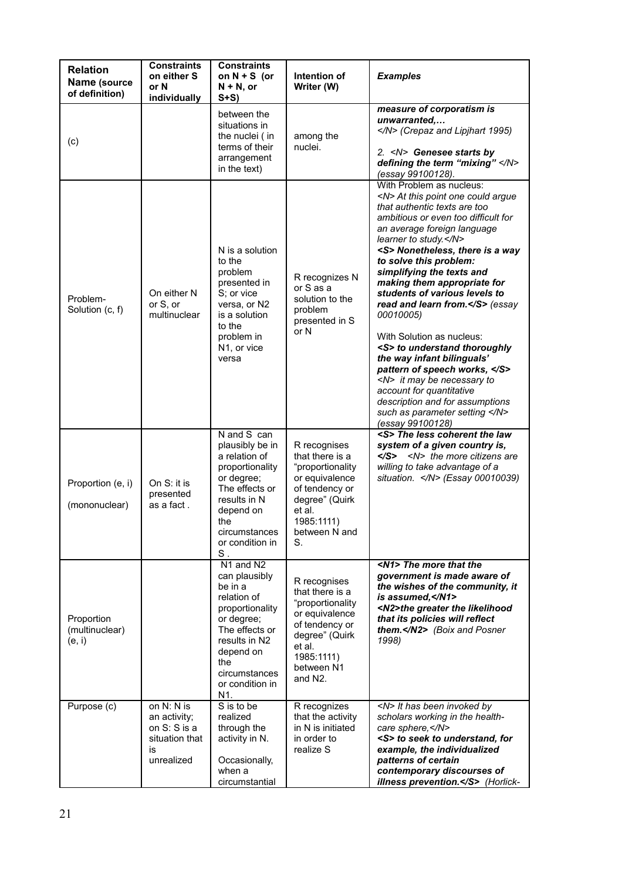| <b>Relation</b><br>Name (source<br>of definition) | <b>Constraints</b><br>on either S<br>or N<br>individually                          | <b>Constraints</b><br>on $N + S$ (or<br>$N + N$ , or<br>$S+S$                                                                                                                           | Intention of<br>Writer (W)                                                                                                                                              | <b>Examples</b>                                                                                                                                                                                                                                                                                                                                                                                                                                                                                                                                                                                                                                                                                     |
|---------------------------------------------------|------------------------------------------------------------------------------------|-----------------------------------------------------------------------------------------------------------------------------------------------------------------------------------------|-------------------------------------------------------------------------------------------------------------------------------------------------------------------------|-----------------------------------------------------------------------------------------------------------------------------------------------------------------------------------------------------------------------------------------------------------------------------------------------------------------------------------------------------------------------------------------------------------------------------------------------------------------------------------------------------------------------------------------------------------------------------------------------------------------------------------------------------------------------------------------------------|
| (c)                                               |                                                                                    | between the<br>situations in<br>the nuclei (in<br>terms of their<br>arrangement<br>in the text)                                                                                         | among the<br>nuclei.                                                                                                                                                    | measure of corporatism is<br>unwarranted<br>(Crepaz and Lipjhart 1995)<br>2. <n> Genesee starts by<br/>defining the term "mixing" </n><br>(essay 99100128).                                                                                                                                                                                                                                                                                                                                                                                                                                                                                                                                         |
| Problem-<br>Solution (c, f)                       | On either N<br>or S, or<br>multinuclear                                            | N is a solution<br>to the<br>problem<br>presented in<br>S; or vice<br>versa, or N2<br>is a solution<br>to the<br>problem in<br>N1, or vice<br>versa                                     | R recognizes N<br>or S as a<br>solution to the<br>problem<br>presented in S<br>or N                                                                                     | With Problem as nucleus:<br><n> At this point one could argue<br/>that authentic texts are too<br/>ambitious or even too difficult for<br/>an average foreign language<br/>learner to study.</n><br><s> Nonetheless, there is a way<br/>to solve this problem:<br/>simplifying the texts and<br/>making them appropriate for<br/>students of various levels to<br/>read and learn from.</s> (essay<br>00010005)<br>With Solution as nucleus:<br><s> to understand thoroughly<br/>the way infant bilinguals'<br/>pattern of speech works, </s><br><n> it may be necessary to<br/>account for quantitative<br/>description and for assumptions<br/>such as parameter setting </n><br>(essay 99100128) |
| Proportion (e, i)<br>(mononuclear)                | On $S$ : it is<br>presented<br>as a fact .                                         | N and S can<br>plausibly be in<br>a relation of<br>proportionality<br>or degree;<br>The effects or<br>results in N<br>depend on<br>the<br>circumstances<br>or condition in<br>$S$ .     | R recognises<br>that there is a<br>"proportionality<br>or equivalence<br>of tendency or<br>degree" (Quirk<br>et al.<br>1985:1111)<br>between N and<br>S.                | <s> The less coherent the law<br/>system of a given country is,<br/></s><br><n> the more citizens are<br/>willing to take advantage of a<br/>situation. </n> (Essay 00010039)                                                                                                                                                                                                                                                                                                                                                                                                                                                                                                                       |
| Proportion<br>(multinuclear)<br>(e, i)            |                                                                                    | N1 and N2<br>can plausibly<br>be in a<br>relation of<br>proportionality<br>or degree;<br>The effects or<br>results in N2<br>depend on<br>the<br>circumstances<br>or condition in<br>N1. | R recognises<br>that there is a<br>"proportionality<br>or equivalence<br>of tendency or<br>degree" (Quirk<br>et al.<br>1985:1111)<br>between N1<br>and N <sub>2</sub> . | <n1> The more that the<br/>government is made aware of<br/>the wishes of the community, it<br/>is assumed, </n1><br><n2>the greater the likelihood<br/>that its policies will reflect<br/>them.</n2> (Boix and Posner<br>1998)                                                                                                                                                                                                                                                                                                                                                                                                                                                                      |
| Purpose (c)                                       | on N: N is<br>an activity;<br>on $S: S$ is a<br>situation that<br>is<br>unrealized | S is to be<br>realized<br>through the<br>activity in N.<br>Occasionally,<br>when a<br>circumstantial                                                                                    | R recognizes<br>that the activity<br>in N is initiated<br>in order to<br>realize S                                                                                      | <n> It has been invoked by<br/>scholars working in the health-<br/>care sphere, </n><br><s> to seek to understand, for<br/>example, the individualized<br/>patterns of certain<br/>contemporary discourses of<br/>illness prevention.</s> (Horlick-                                                                                                                                                                                                                                                                                                                                                                                                                                                 |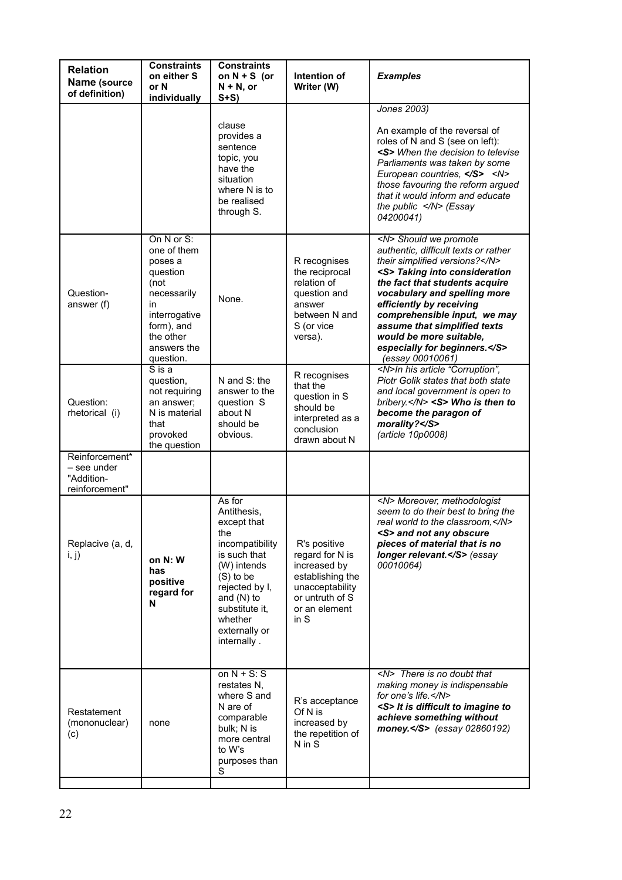| <b>Relation</b><br>Name (source<br>of definition)             | <b>Constraints</b><br>on either S<br>or N<br>individually                                                                                             | <b>Constraints</b><br>on $N + S$ (or<br>$N + N$ , or<br>$S+S$                                                                                                                                               | Intention of<br>Writer (W)                                                                                                         | <b>Examples</b>                                                                                                                                                                                                                                                                                                                                                                         |
|---------------------------------------------------------------|-------------------------------------------------------------------------------------------------------------------------------------------------------|-------------------------------------------------------------------------------------------------------------------------------------------------------------------------------------------------------------|------------------------------------------------------------------------------------------------------------------------------------|-----------------------------------------------------------------------------------------------------------------------------------------------------------------------------------------------------------------------------------------------------------------------------------------------------------------------------------------------------------------------------------------|
|                                                               |                                                                                                                                                       | clause<br>provides a<br>sentence<br>topic, you<br>have the<br>situation<br>where N is to<br>be realised<br>through S.                                                                                       |                                                                                                                                    | Jones 2003)<br>An example of the reversal of<br>roles of N and S (see on left):<br><s> When the decision to televise<br/>Parliaments was taken by some<br/>European countries, </s> <n><br/>those favouring the reform argued<br/>that it would inform and educate<br/>the public <math>\langle N \rangle</math> (Essay<br/>04200041)</n>                                               |
| Question-<br>answer (f)                                       | On N or S:<br>one of them<br>poses a<br>question<br>(not<br>necessarily<br>in<br>interrogative<br>form), and<br>the other<br>answers the<br>question. | None.                                                                                                                                                                                                       | R recognises<br>the reciprocal<br>relation of<br>question and<br>answer<br>between N and<br>S (or vice<br>versa).                  | <n> Should we promote<br/>authentic, difficult texts or rather<br/>their simplified versions?</n><br><s> Taking into consideration<br/>the fact that students acquire<br/>vocabulary and spelling more<br/>efficiently by receiving<br/>comprehensible input, we may<br/>assume that simplified texts<br/>would be more suitable,<br/>especially for beginners.</s><br>(essay 00010061) |
| Question:<br>rhetorical (i)                                   | $\overline{S}$ is a<br>question,<br>not requiring<br>an answer:<br>N is material<br>that<br>provoked<br>the question                                  | N and S: the<br>answer to the<br>question S<br>about N<br>should be<br>obvious.                                                                                                                             | R recognises<br>that the<br>question in S<br>should be<br>interpreted as a<br>conclusion<br>drawn about N                          | <n>In his article "Corruption",<br/>Piotr Golik states that both state<br/>and local government is open to<br/>bribery.</n> <s> Who is then to<br/>become the paragon of<br/>morality?</s><br>(article 10p0008)                                                                                                                                                                         |
| Reinforcement*<br>– see under<br>"Addition-<br>reinforcement" |                                                                                                                                                       |                                                                                                                                                                                                             |                                                                                                                                    |                                                                                                                                                                                                                                                                                                                                                                                         |
| Replacive (a, d,<br>i, j)                                     | on N: W<br>has<br>positive<br>regard for<br>N                                                                                                         | As for<br>Antithesis,<br>except that<br>the<br>incompatibility<br>is such that<br>(W) intends<br>$(S)$ to be<br>rejected by I,<br>and $(N)$ to<br>substitute it,<br>whether<br>externally or<br>internally. | R's positive<br>regard for N is<br>increased by<br>establishing the<br>unacceptability<br>or untruth of S<br>or an element<br>in S | <n> Moreover, methodologist<br/>seem to do their best to bring the<br/>real world to the classroom, </n><br><s> and not any obscure<br/>pieces of material that is no<br/>longer relevant.</s> (essay<br>00010064)                                                                                                                                                                      |
| Restatement<br>(mononuclear)<br>(c)                           | none                                                                                                                                                  | on $N + S$ : S<br>restates N,<br>where S and<br>N are of<br>comparable<br>bulk; N is<br>more central<br>to W's<br>purposes than<br>S                                                                        | R's acceptance<br>Of N is<br>increased by<br>the repetition of<br>N in S                                                           | <n> There is no doubt that<br/>making money is indispensable<br/>for one's life.</n><br><s> It is difficult to imagine to<br/>achieve something without<br/>money.</s> (essay 02860192)                                                                                                                                                                                                 |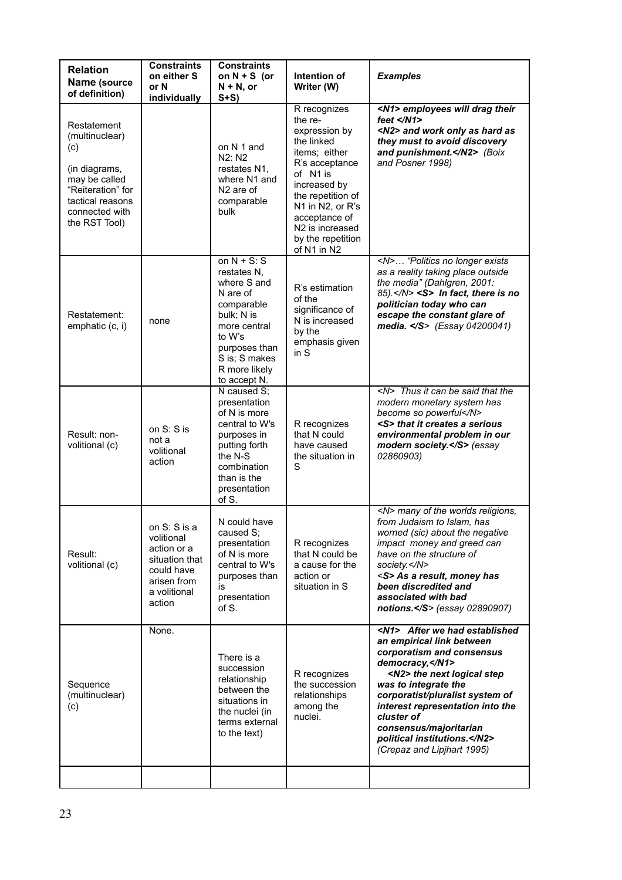| <b>Relation</b><br>Name (source<br>of definition)                                                                                                  | <b>Constraints</b><br>on either S<br>or N<br>individually                                                          | <b>Constraints</b><br>on $N + S$ (or<br>$N + N$ , or<br>$S+S$                                                                                                                     | Intention of<br>Writer (W)                                                                                                                                                                                                                         | <b>Examples</b>                                                                                                                                                                                                                                                                                                                                         |
|----------------------------------------------------------------------------------------------------------------------------------------------------|--------------------------------------------------------------------------------------------------------------------|-----------------------------------------------------------------------------------------------------------------------------------------------------------------------------------|----------------------------------------------------------------------------------------------------------------------------------------------------------------------------------------------------------------------------------------------------|---------------------------------------------------------------------------------------------------------------------------------------------------------------------------------------------------------------------------------------------------------------------------------------------------------------------------------------------------------|
| Restatement<br>(multinuclear)<br>(c)<br>(in diagrams,<br>may be called<br>"Reiteration" for<br>tactical reasons<br>connected with<br>the RST Tool) |                                                                                                                    | on N 1 and<br>N2: N2<br>restates N1,<br>where N1 and<br>N <sub>2</sub> are of<br>comparable<br>bulk                                                                               | R recognizes<br>the re-<br>expression by<br>the linked<br>items; either<br>R's acceptance<br>of N1 is<br>increased by<br>the repetition of<br>N1 in N2, or R's<br>acceptance of<br>N <sub>2</sub> is increased<br>by the repetition<br>of N1 in N2 | <n1> employees will drag their<br/>feet <math>\langle N1 \rangle</math><br/><n2> and work only as hard as<br/>they must to avoid discovery<br/>and punishment.</n2> (Boix<br/>and Posner 1998)</n1>                                                                                                                                                     |
| Restatement:<br>emphatic (c, i)                                                                                                                    | none                                                                                                               | on $N + S$ : S<br>restates N,<br>where S and<br>N are of<br>comparable<br>bulk; N is<br>more central<br>to W's<br>purposes than<br>S is; S makes<br>R more likely<br>to accept N. | R's estimation<br>of the<br>significance of<br>N is increased<br>by the<br>emphasis given<br>in S                                                                                                                                                  | <n> "Politics no longer exists<br/>as a reality taking place outside<br/>the media" (Dahlgren, 2001:<br/>85).</n> <s> In fact, there is no<br/>politician today who can<br/>escape the constant glare of<br/>media. </s> (Essay 04200041)                                                                                                               |
| Result: non-<br>volitional (c)                                                                                                                     | on S: S is<br>not a<br>volitional<br>action                                                                        | N caused S;<br>presentation<br>of N is more<br>central to W's<br>purposes in<br>putting forth<br>the N-S<br>combination<br>than is the<br>presentation<br>of S.                   | R recognizes<br>that N could<br>have caused<br>the situation in<br>S                                                                                                                                                                               | <n> Thus it can be said that the<br/>modern monetary system has<br/>become so powerful</n><br><s> that it creates a serious<br/>environmental problem in our<br/>modern society.</s> (essay<br>02860903)                                                                                                                                                |
| Result:<br>volitional (c)                                                                                                                          | on S: S is a<br>volitional<br>action or a<br>situation that<br>could have<br>arisen from<br>a volitional<br>action | N could have<br>caused S;<br>presentation<br>of N is more<br>central to W's<br>purposes than<br>is<br>presentation<br>of S.                                                       | R recognizes<br>that N could be<br>a cause for the<br>action or<br>situation in S                                                                                                                                                                  | <n> many of the worlds religions,<br/>from Judaism to Islam, has<br/>worned (sic) about the negative<br/>impact money and greed can<br/>have on the structure of<br/>society.</n><br><s> As a result, money has<br/>been discredited and<br/>associated with bad<br/>notions.</s> (essay 02890907)                                                      |
| Sequence<br>(multinuclear)<br>(c)                                                                                                                  | None.                                                                                                              | There is a<br>succession<br>relationship<br>between the<br>situations in<br>the nuclei (in<br>terms external<br>to the text)                                                      | R recognizes<br>the succession<br>relationships<br>among the<br>nuclei.                                                                                                                                                                            | <n1> After we had established<br/>an empirical link between<br/>corporatism and consensus<br/>democracy, </n1><br><n2> the next logical step<br/>was to integrate the<br/>corporatist/pluralist system of<br/>interest representation into the<br/>cluster of<br/>consensus/majoritarian<br/>political institutions.</n2><br>(Crepaz and Lipjhart 1995) |
|                                                                                                                                                    |                                                                                                                    |                                                                                                                                                                                   |                                                                                                                                                                                                                                                    |                                                                                                                                                                                                                                                                                                                                                         |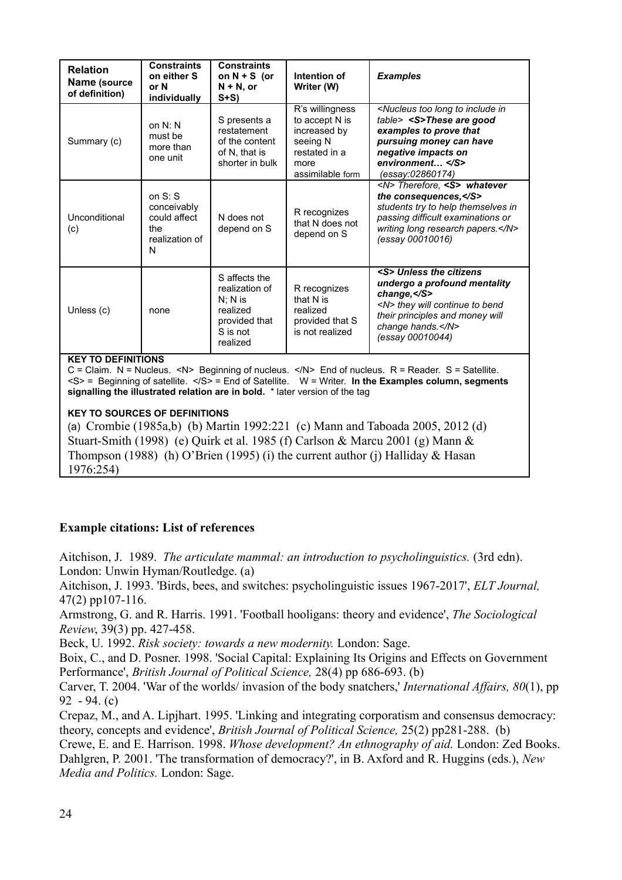| <b>Relation</b><br>Name (source<br>of definition) | <b>Constraints</b><br>on either S<br>or N<br>individually              | <b>Constraints</b><br>on $N + S$ (or<br>$N + N$ , or<br>$S+S$                                     | Intention of<br>Writer (W)                                                                                 | <b>Examples</b>                                                                                                                                                                                                               |
|---------------------------------------------------|------------------------------------------------------------------------|---------------------------------------------------------------------------------------------------|------------------------------------------------------------------------------------------------------------|-------------------------------------------------------------------------------------------------------------------------------------------------------------------------------------------------------------------------------|
| Summary (c)                                       | on $N: N$<br>must be<br>more than<br>one unit                          | S presents a<br>restatement<br>of the content<br>of N, that is<br>shorter in bulk                 | R's willingness<br>to accept N is<br>increased by<br>seeing N<br>restated in a<br>more<br>assimilable form | <nucleus in<br="" include="" long="" to="" too="">table&gt; <s>These are good<br/>examples to prove that<br/>pursuing money can have<br/>negative impacts on<br/>environment </s><br/>(essay:02860174)</nucleus>              |
| Unconditional<br>(c)                              | on $S: S$<br>conceivably<br>could affect<br>the<br>realization of<br>N | N does not<br>depend on S                                                                         | R recognizes<br>that N does not<br>depend on S                                                             | <n> Therefore, <s> whatever<br/>the consequences, </s><br/>students try to help themselves in<br/>passing difficult examinations or<br/>writing long research papers.</n><br>(essay 00010016)                                 |
| Unless (c)                                        | none                                                                   | S affects the<br>realization of<br>$N: N$ is<br>realized<br>provided that<br>S is not<br>realized | R recognizes<br>that N is<br>realized<br>provided that S<br>is not realized                                | <s> Unless the citizens<br/>undergo a profound mentality<br/>change,<math>&lt;</math><math>S</math>&gt;<br/><n> they will continue to bend<br/>their principles and money will<br/>change hands.</n><br/>(essay 00010044)</s> |

#### **KEY TO DEFINITIONS**

C = Claim. N = Nucleus. <N> Beginning of nucleus. </N> End of nucleus. R = Reader. S = Satellite.  $<$ S> = Beginning of satellite.  $<$ /S> = End of Satellite. W = Writer. **In the Examples column, segments signalling the illustrated relation are in bold.** \* later version of the tag

#### **KEY TO SOURCES OF DEFINITIONS**

(a) Crombie (1985a,b) (b) Martin 1992:221 (c) Mann and Taboada 2005, 2012 (d) Stuart-Smith (1998) (e) Quirk et al. 1985 (f) Carlson & Marcu 2001 (g) Mann & Thompson (1988) (h) O'Brien (1995) (i) the current author (j) Halliday & Hasan 1976:254)

## **Example citations: List of references**

Aitchison, J. 1989. *The articulate mammal: an introduction to psycholinguistics.* (3rd edn). London: Unwin Hyman/Routledge. (a)

Aitchison, J. 1993. 'Birds, bees, and switches: psycholinguistic issues 1967-2017', *ELT Journal,* 47(2) pp107-116.

Armstrong, G. and R. Harris. 1991. 'Football hooligans: theory and evidence', *The Sociological Review*, 39(3) pp. 427-458.

Beck, U. 1992. *Risk society: towards a new modernity.* London: Sage.

Boix, C., and D. Posner. 1998. 'Social Capital: Explaining Its Origins and Effects on Government Performance', *British Journal of Political Science,* 28(4) pp 686-693. (b)

Carver, T. 2004. 'War of the worlds/ invasion of the body snatchers,' *International Affairs, 80*(1), pp 92 - 94. (c)

Crepaz, M., and A. Lipjhart. 1995. 'Linking and integrating corporatism and consensus democracy: theory, concepts and evidence', *British Journal of Political Science,* 25(2) pp281-288. (b)

Crewe, E. and E. Harrison. 1998. *Whose development? An ethnography of aid.* London: Zed Books. Dahlgren, P. 2001. 'The transformation of democracy?', in B. Axford and R. Huggins (eds.), *New Media and Politics.* London: Sage.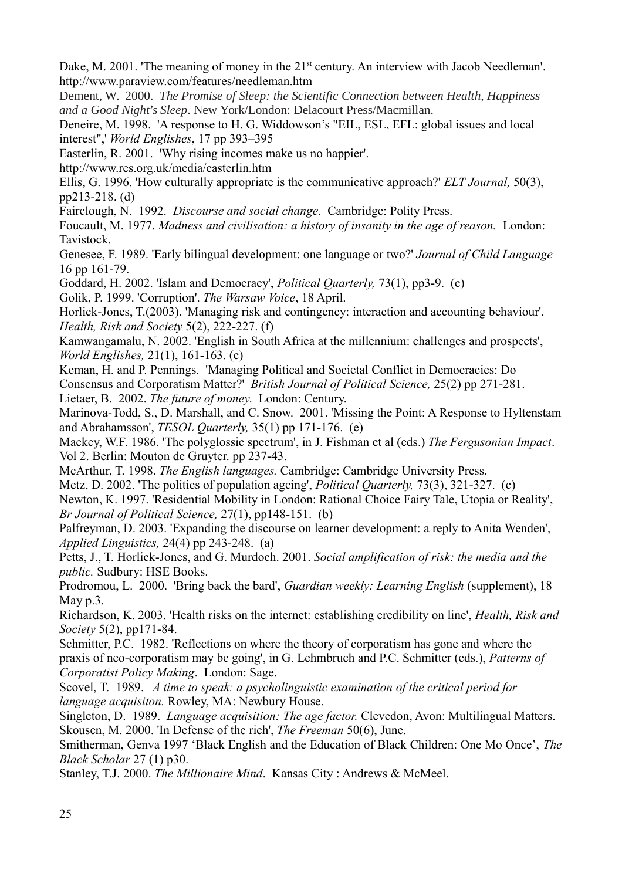Dake, M. 2001. 'The meaning of money in the 21<sup>st</sup> century. An interview with Jacob Needleman'. http://www.paraview.com/features/needleman.htm

Dement, W. 2000. *The Promise of Sleep: the Scientific Connection between Health, Happiness and a Good Night's Sleep*. New York/London: Delacourt Press/Macmillan.

Deneire, M. 1998. 'A response to H. G. Widdowson's "EIL, ESL, EFL: global issues and local interest",' *World Englishes*, 17 pp 393–395

Easterlin, R. 2001. 'Why rising incomes make us no happier'.

http://www.res.org.uk/media/easterlin.htm

Ellis, G. 1996. 'How culturally appropriate is the communicative approach?' *ELT Journal,* 50(3), pp213-218. (d)

Fairclough, N. 1992. *Discourse and social change*. Cambridge: Polity Press.

Foucault, M. 1977. *Madness and civilisation: a history of insanity in the age of reason.* London: Tavistock.

Genesee, F. 1989. 'Early bilingual development: one language or two?' *Journal of Child Language* 16 pp 161-79.

Goddard, H. 2002. 'Islam and Democracy', *Political Quarterly,* 73(1), pp3-9. (c)

Golik, P. 1999. 'Corruption'. *The Warsaw Voice*, 18 April.

Horlick-Jones, T.(2003). 'Managing risk and contingency: interaction and accounting behaviour'. *Health, Risk and Society* 5(2), 222-227. (f)

Kamwangamalu, N. 2002. 'English in South Africa at the millennium: challenges and prospects', *World Englishes,* 21(1), 161-163. (c)

Keman, H. and P. Pennings. 'Managing Political and Societal Conflict in Democracies: Do Consensus and Corporatism Matter?' *British Journal of Political Science,* 25(2) pp 271-281.

Lietaer, B. 2002. *The future of money*. London: Century.

Marinova-Todd, S., D. Marshall, and C. Snow. 2001. 'Missing the Point: A Response to Hyltenstam and Abrahamsson', *TESOL Quarterly,* 35(1) pp 171-176. (e)

Mackey, W.F. 1986. 'The polyglossic spectrum', in J. Fishman et al (eds.) *The Fergusonian Impact*. Vol 2. Berlin: Mouton de Gruyter. pp 237-43.

McArthur, T. 1998. *The English languages.* Cambridge: Cambridge University Press.

Metz, D. 2002. 'The politics of population ageing', *Political Quarterly,* 73(3), 321-327. (c)

Newton, K. 1997. 'Residential Mobility in London: Rational Choice Fairy Tale, Utopia or Reality', *Br Journal of Political Science,* 27(1), pp148-151. (b)

Palfreyman, D. 2003. 'Expanding the discourse on learner development: a reply to Anita Wenden', *Applied Linguistics,* 24(4) pp 243-248. (a)

Petts, J., T. Horlick-Jones, and G. Murdoch. 2001. *Social amplification of risk: the media and the public.* Sudbury: HSE Books.

Prodromou, L. 2000. 'Bring back the bard', *Guardian weekly: Learning English* (supplement), 18 May p.3.

Richardson, K. 2003. 'Health risks on the internet: establishing credibility on line', *Health, Risk and Society* 5(2), pp171-84.

Schmitter, P.C. 1982. 'Reflections on where the theory of corporatism has gone and where the praxis of neo-corporatism may be going', in G. Lehmbruch and P.C. Schmitter (eds.), *Patterns of Corporatist Policy Making*. London: Sage.

Scovel, T. 1989.*A time to speak: a psycholinguistic examination of the critical period for language acquisiton.* Rowley, MA: Newbury House.

Singleton, D. 1989. *Language acquisition: The age factor.* Clevedon, Avon: Multilingual Matters. Skousen, M. 2000. 'In Defense of the rich', *The Freeman* 50(6), June.

Smitherman, Genva 1997 'Black English and the Education of Black Children: One Mo Once', *The Black Scholar* 27 (1) p30.

Stanley, T.J. 2000. *The Millionaire Mind*. Kansas City : Andrews & McMeel.